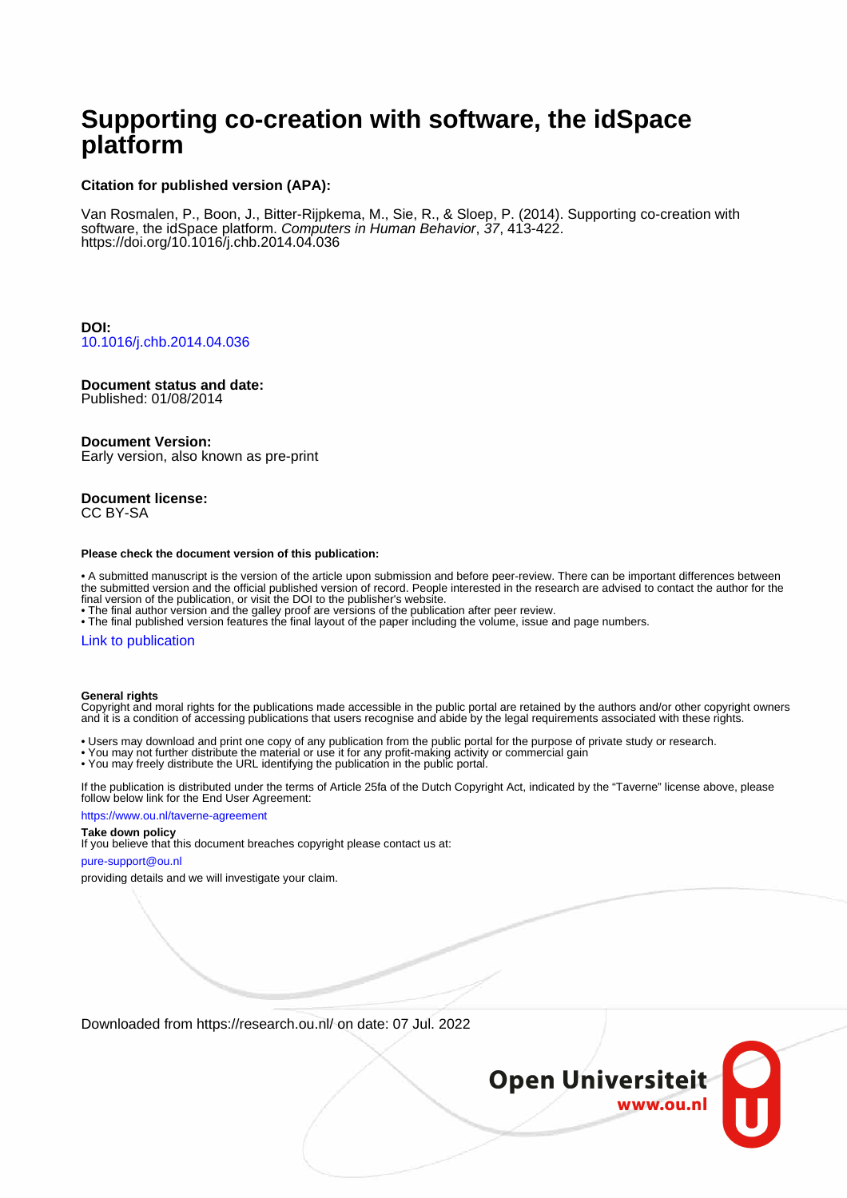# **Supporting co-creation with software, the idSpace platform**

#### **Citation for published version (APA):**

Van Rosmalen, P., Boon, J., Bitter-Rijpkema, M., Sie, R., & Sloep, P. (2014). Supporting co-creation with software, the idSpace platform. Computers in Human Behavior, 37, 413-422. <https://doi.org/10.1016/j.chb.2014.04.036>

**DOI:** [10.1016/j.chb.2014.04.036](https://doi.org/10.1016/j.chb.2014.04.036)

# **Document status and date:**

Published: 01/08/2014

#### **Document Version:**

Early version, also known as pre-print

#### **Document license:** CC BY-SA

#### **Please check the document version of this publication:**

• A submitted manuscript is the version of the article upon submission and before peer-review. There can be important differences between the submitted version and the official published version of record. People interested in the research are advised to contact the author for the final version of the publication, or visit the DOI to the publisher's website.

• The final author version and the galley proof are versions of the publication after peer review.

• The final published version features the final layout of the paper including the volume, issue and page numbers.

#### [Link to publication](https://research.ou.nl/en/publications/823c0b61-b728-4608-a504-344c0dc06e73)

#### **General rights**

Copyright and moral rights for the publications made accessible in the public portal are retained by the authors and/or other copyright owners and it is a condition of accessing publications that users recognise and abide by the legal requirements associated with these rights.

- Users may download and print one copy of any publication from the public portal for the purpose of private study or research.
- You may not further distribute the material or use it for any profit-making activity or commercial gain
- You may freely distribute the URL identifying the publication in the public portal.

If the publication is distributed under the terms of Article 25fa of the Dutch Copyright Act, indicated by the "Taverne" license above, please follow below link for the End User Agreement:

#### https://www.ou.nl/taverne-agreement

## **Take down policy**

If you believe that this document breaches copyright please contact us at:

#### pure-support@ou.nl

providing details and we will investigate your claim.

Downloaded from https://research.ou.nl/ on date: 07 Jul. 2022

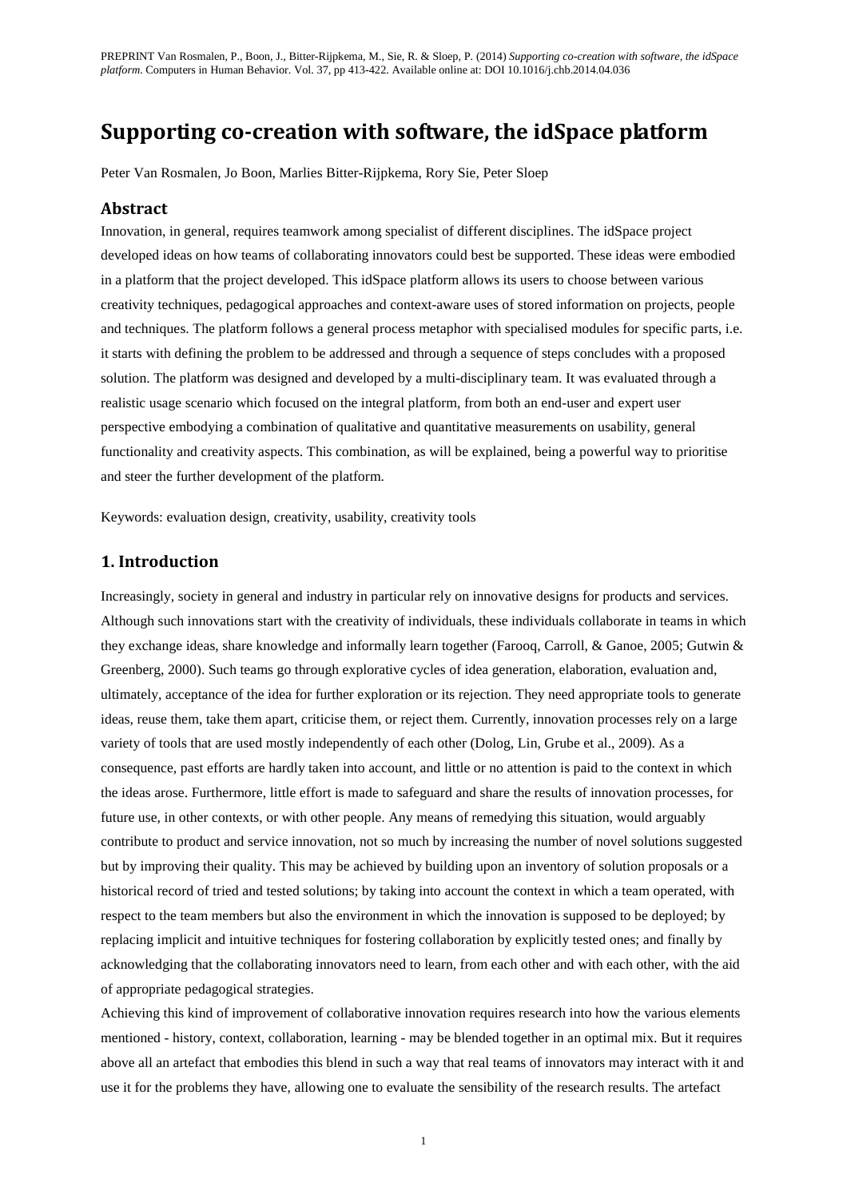# **Supporting co-creation with software, the idSpace platform**

Peter Van Rosmalen, Jo Boon, Marlies Bitter-Rijpkema, Rory Sie, Peter Sloep

# **Abstract**

Innovation, in general, requires teamwork among specialist of different disciplines. The idSpace project developed ideas on how teams of collaborating innovators could best be supported. These ideas were embodied in a platform that the project developed. This idSpace platform allows its users to choose between various creativity techniques, pedagogical approaches and context-aware uses of stored information on projects, people and techniques. The platform follows a general process metaphor with specialised modules for specific parts, i.e. it starts with defining the problem to be addressed and through a sequence of steps concludes with a proposed solution. The platform was designed and developed by a multi-disciplinary team. It was evaluated through a realistic usage scenario which focused on the integral platform, from both an end-user and expert user perspective embodying a combination of qualitative and quantitative measurements on usability, general functionality and creativity aspects. This combination, as will be explained, being a powerful way to prioritise and steer the further development of the platform.

Keywords: evaluation design, creativity, usability, creativity tools

# **1. Introduction**

Increasingly, society in general and industry in particular rely on innovative designs for products and services. Although such innovations start with the creativity of individuals, these individuals collaborate in teams in which they exchange ideas, share knowledge and informally learn together (Farooq, Carroll, & Ganoe, 2005; Gutwin & Greenberg, 2000). Such teams go through explorative cycles of idea generation, elaboration, evaluation and, ultimately, acceptance of the idea for further exploration or its rejection. They need appropriate tools to generate ideas, reuse them, take them apart, criticise them, or reject them. Currently, innovation processes rely on a large variety of tools that are used mostly independently of each other (Dolog, Lin, Grube et al., 2009). As a consequence, past efforts are hardly taken into account, and little or no attention is paid to the context in which the ideas arose. Furthermore, little effort is made to safeguard and share the results of innovation processes, for future use, in other contexts, or with other people. Any means of remedying this situation, would arguably contribute to product and service innovation, not so much by increasing the number of novel solutions suggested but by improving their quality. This may be achieved by building upon an inventory of solution proposals or a historical record of tried and tested solutions; by taking into account the context in which a team operated, with respect to the team members but also the environment in which the innovation is supposed to be deployed; by replacing implicit and intuitive techniques for fostering collaboration by explicitly tested ones; and finally by acknowledging that the collaborating innovators need to learn, from each other and with each other, with the aid of appropriate pedagogical strategies.

Achieving this kind of improvement of collaborative innovation requires research into how the various elements mentioned - history, context, collaboration, learning - may be blended together in an optimal mix. But it requires above all an artefact that embodies this blend in such a way that real teams of innovators may interact with it and use it for the problems they have, allowing one to evaluate the sensibility of the research results. The artefact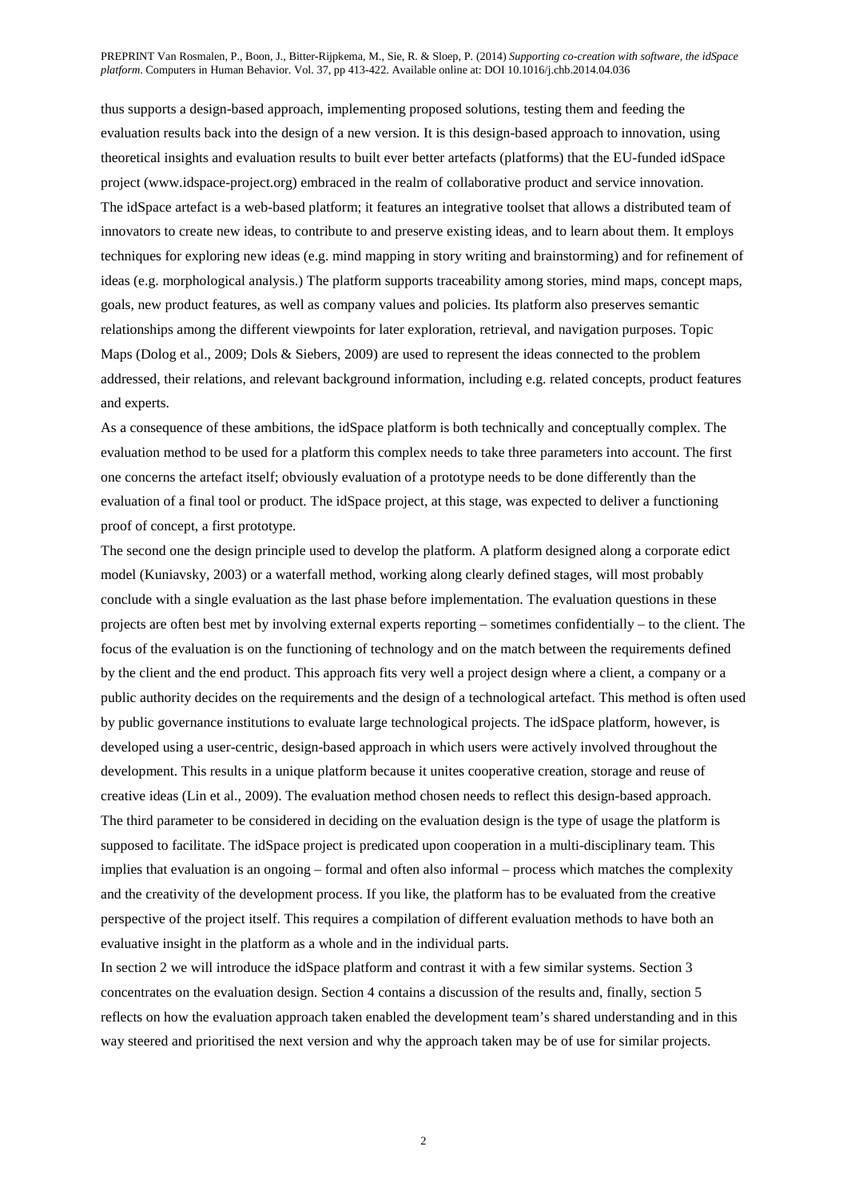thus supports a design-based approach, implementing proposed solutions, testing them and feeding the evaluation results back into the design of a new version. It is this design-based approach to innovation, using theoretical insights and evaluation results to built ever better artefacts (platforms) that the EU-funded idSpace project (www.idspace-project.org) embraced in the realm of collaborative product and service innovation. The idSpace artefact is a web-based platform; it features an integrative toolset that allows a distributed team of innovators to create new ideas, to contribute to and preserve existing ideas, and to learn about them. It employs techniques for exploring new ideas (e.g. mind mapping in story writing and brainstorming) and for refinement of ideas (e.g. morphological analysis.) The platform supports traceability among stories, mind maps, concept maps, goals, new product features, as well as company values and policies. Its platform also preserves semantic relationships among the different viewpoints for later exploration, retrieval, and navigation purposes. Topic Maps (Dolog et al., 2009; Dols & Siebers, 2009) are used to represent the ideas connected to the problem addressed, their relations, and relevant background information, including e.g. related concepts, product features and experts.

As a consequence of these ambitions, the idSpace platform is both technically and conceptually complex. The evaluation method to be used for a platform this complex needs to take three parameters into account. The first one concerns the artefact itself; obviously evaluation of a prototype needs to be done differently than the evaluation of a final tool or product. The idSpace project, at this stage, was expected to deliver a functioning proof of concept, a first prototype.

The second one the design principle used to develop the platform. A platform designed along a corporate edict model (Kuniavsky, 2003) or a waterfall method, working along clearly defined stages, will most probably conclude with a single evaluation as the last phase before implementation. The evaluation questions in these projects are often best met by involving external experts reporting – sometimes confidentially – to the client. The focus of the evaluation is on the functioning of technology and on the match between the requirements defined by the client and the end product. This approach fits very well a project design where a client, a company or a public authority decides on the requirements and the design of a technological artefact. This method is often used by public governance institutions to evaluate large technological projects. The idSpace platform, however, is developed using a user-centric, design-based approach in which users were actively involved throughout the development. This results in a unique platform because it unites cooperative creation, storage and reuse of creative ideas (Lin et al., 2009). The evaluation method chosen needs to reflect this design-based approach. The third parameter to be considered in deciding on the evaluation design is the type of usage the platform is supposed to facilitate. The idSpace project is predicated upon cooperation in a multi-disciplinary team. This implies that evaluation is an ongoing – formal and often also informal – process which matches the complexity and the creativity of the development process. If you like, the platform has to be evaluated from the creative perspective of the project itself. This requires a compilation of different evaluation methods to have both an evaluative insight in the platform as a whole and in the individual parts.

In section 2 we will introduce the idSpace platform and contrast it with a few similar systems. Section 3 concentrates on the evaluation design. Section 4 contains a discussion of the results and, finally, section 5 reflects on how the evaluation approach taken enabled the development team's shared understanding and in this way steered and prioritised the next version and why the approach taken may be of use for similar projects.

2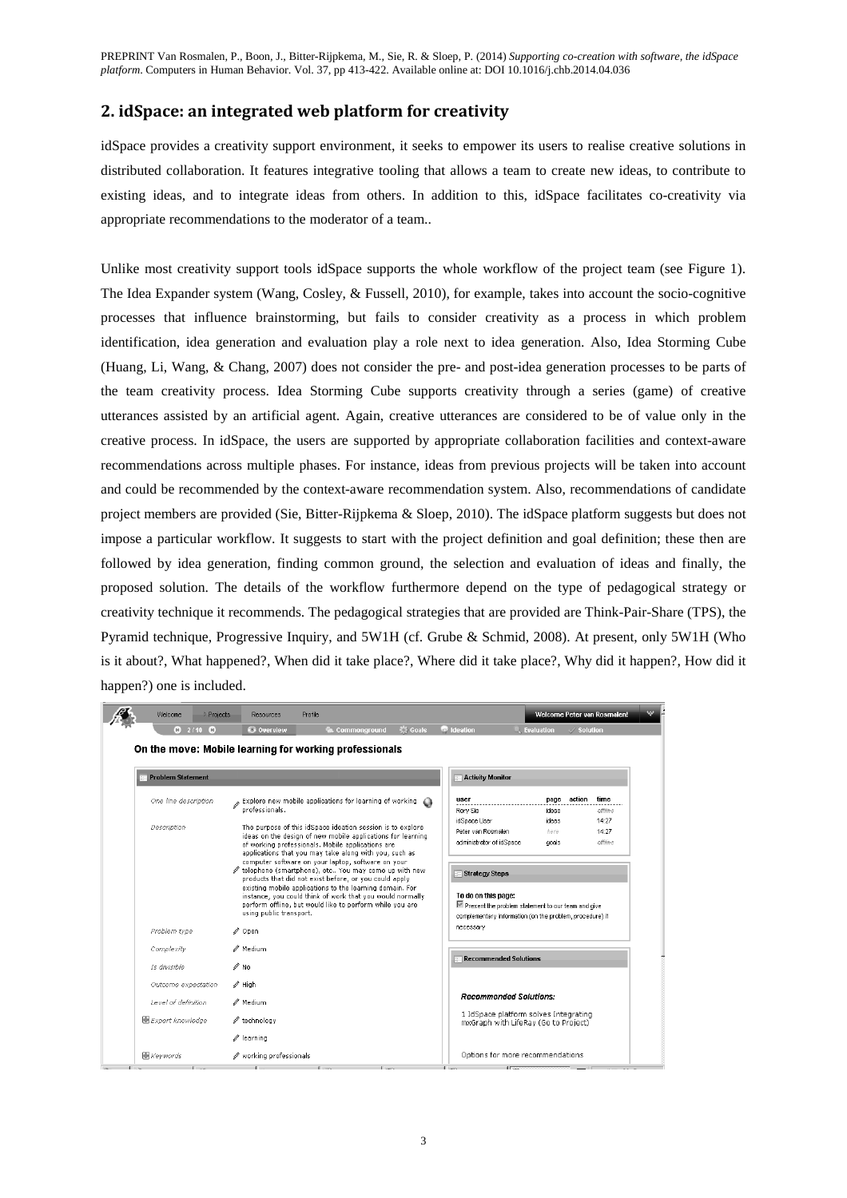# **2. idSpace: an integrated web platform for creativity**

idSpace provides a creativity support environment, it seeks to empower its users to realise creative solutions in distributed collaboration. It features integrative tooling that allows a team to create new ideas, to contribute to existing ideas, and to integrate ideas from others. In addition to this, idSpace facilitates co-creativity via appropriate recommendations to the moderator of a team..

Unlike most creativity support tools idSpace supports the whole workflow of the project team (see Figure 1). The Idea Expander system (Wang, Cosley, & Fussell, 2010), for example, takes into account the socio-cognitive processes that influence brainstorming, but fails to consider creativity as a process in which problem identification, idea generation and evaluation play a role next to idea generation. Also, Idea Storming Cube (Huang, Li, Wang, & Chang, 2007) does not consider the pre- and post-idea generation processes to be parts of the team creativity process. Idea Storming Cube supports creativity through a series (game) of creative utterances assisted by an artificial agent. Again, creative utterances are considered to be of value only in the creative process. In idSpace, the users are supported by appropriate collaboration facilities and context-aware recommendations across multiple phases. For instance, ideas from previous projects will be taken into account and could be recommended by the context-aware recommendation system. Also, recommendations of candidate project members are provided (Sie, Bitter-Rijpkema & Sloep, 2010). The idSpace platform suggests but does not impose a particular workflow. It suggests to start with the project definition and goal definition; these then are followed by idea generation, finding common ground, the selection and evaluation of ideas and finally, the proposed solution. The details of the workflow furthermore depend on the type of pedagogical strategy or creativity technique it recommends. The pedagogical strategies that are provided are Think-Pair-Share (TPS), the Pyramid technique, Progressive Inquiry, and 5W1H (cf. Grube & Schmid, 2008). At present, only 5W1H (Who is it about?, What happened?, When did it take place?, Where did it take place?, Why did it happen?, How did it happen?) one is included.

| Welcome                                                  | Projects<br><b>Resources</b>                                                                                                                                                      | Profile                                                                                                               |                |  |                                                                             |                                                                               |                 | Welcome Peter van Rosmalen! |
|----------------------------------------------------------|-----------------------------------------------------------------------------------------------------------------------------------------------------------------------------------|-----------------------------------------------------------------------------------------------------------------------|----------------|--|-----------------------------------------------------------------------------|-------------------------------------------------------------------------------|-----------------|-----------------------------|
| $Q = 2/10 Q$                                             | <b>O</b> Overview                                                                                                                                                                 | <b>Commonground</b><br>On the move: Mobile learning for working professionals                                         | <b>C</b> Goals |  | deation                                                                     | <b>Evaluation</b>                                                             | $\vee$ Solution |                             |
| <b>Problem Statement</b>                                 |                                                                                                                                                                                   |                                                                                                                       |                |  | <b>Activity Monitor</b>                                                     |                                                                               |                 |                             |
| One line description                                     |                                                                                                                                                                                   | Explore new mobile applications for learning of working                                                               |                |  | user                                                                        | page                                                                          | action          | time                        |
|                                                          | professionals.                                                                                                                                                                    |                                                                                                                       |                |  | Rory Sie                                                                    | ideas                                                                         |                 | offline                     |
| Description                                              |                                                                                                                                                                                   | The purpose of this idSpace ideation session is to explore                                                            |                |  | idSpace User                                                                | ideas                                                                         |                 | 14:27                       |
|                                                          |                                                                                                                                                                                   | ideas on the design of new mobile applications for learning                                                           |                |  | Peter van Rosmalen                                                          | here                                                                          |                 | 14:27                       |
|                                                          |                                                                                                                                                                                   | of working professionals. Mobile applications are<br>applications that you may take along with you, such as           |                |  | administrator of idSpace                                                    | coals                                                                         |                 | offline                     |
|                                                          | computer software on your laptop, software on your<br>$\mathscr A$ telephone (smartphone), etc You may come up with new<br>products that did not exist before, or you could apply |                                                                                                                       | Strategy Steps |  |                                                                             |                                                                               |                 |                             |
| existing mobile applications to the learning domain. For |                                                                                                                                                                                   | instance, you could think of work that you would normally<br>perform offline, but would like to perform while you are |                |  | To do on this page:<br>Ⅳ Present the problem statement to our team and give |                                                                               |                 |                             |
|                                                          | using public transport.                                                                                                                                                           |                                                                                                                       |                |  | complementary information (on the problem, procedure) if                    |                                                                               |                 |                             |
| Problem type                                             | $\mathscr{D}$ Open                                                                                                                                                                |                                                                                                                       |                |  | necessary                                                                   |                                                                               |                 |                             |
| Complexity                                               | $\mathscr N$ Medium                                                                                                                                                               |                                                                                                                       |                |  |                                                                             |                                                                               |                 |                             |
| Is divisible                                             | $\mathscr{D}$ No.                                                                                                                                                                 |                                                                                                                       |                |  | <b>Recommended Solutions</b>                                                |                                                                               |                 |                             |
| Outcome expectation                                      | $\mathscr X$ High                                                                                                                                                                 |                                                                                                                       |                |  |                                                                             |                                                                               |                 |                             |
| Level of definition                                      | $\mathscr{D}$ Medium                                                                                                                                                              |                                                                                                                       |                |  | <b>Recommended Solutions:</b>                                               |                                                                               |                 |                             |
| <b>Expert knowledge</b>                                  | technology                                                                                                                                                                        |                                                                                                                       |                |  |                                                                             | 1 IdSpace platform solves Integrating<br>mxGraph with LifeRay (Go to Project) |                 |                             |
|                                                          | $\mathscr A$ learning                                                                                                                                                             |                                                                                                                       |                |  |                                                                             |                                                                               |                 |                             |
| <b>In</b> Keywords                                       | working professionals                                                                                                                                                             |                                                                                                                       |                |  | Options for more recommendations                                            |                                                                               |                 |                             |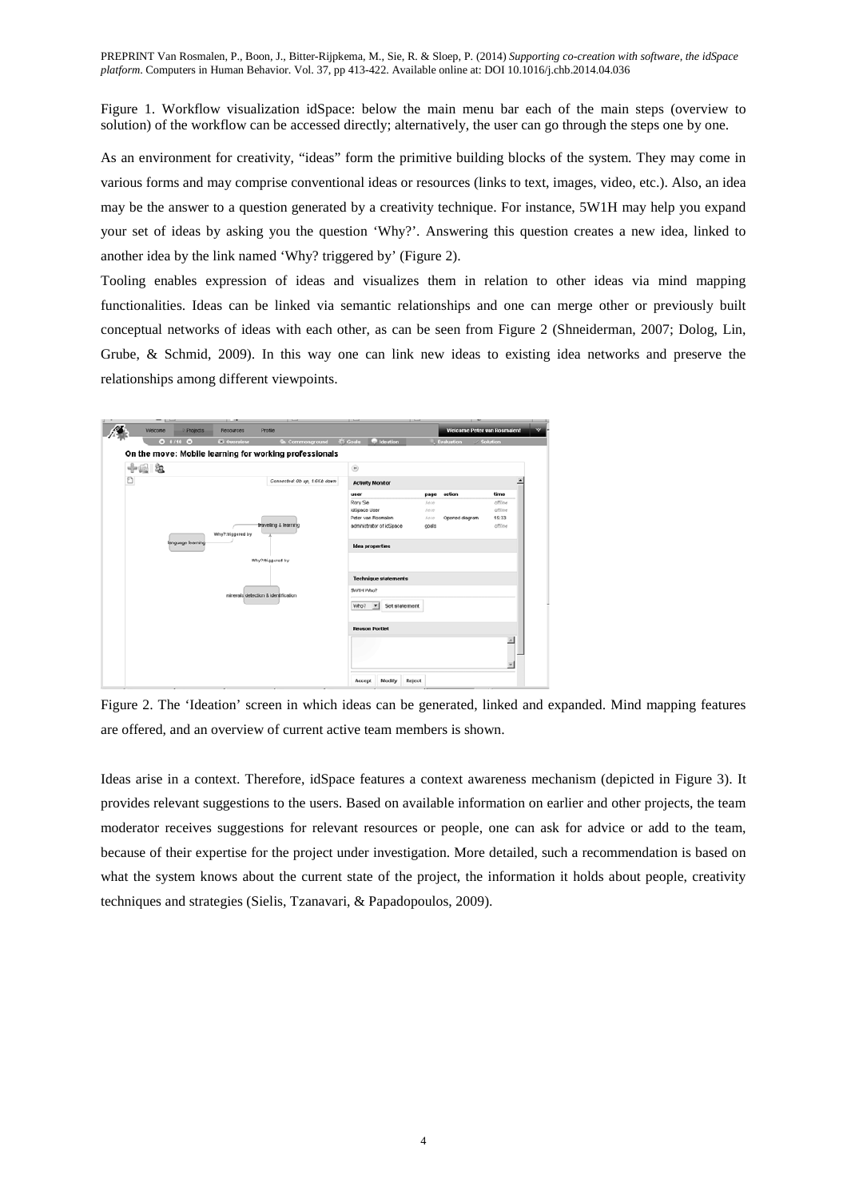Figure 1. Workflow visualization idSpace: below the main menu bar each of the main steps (overview to solution) of the workflow can be accessed directly; alternatively, the user can go through the steps one by one.

As an environment for creativity, "ideas" form the primitive building blocks of the system. They may come in various forms and may comprise conventional ideas or resources (links to text, images, video, etc.). Also, an idea may be the answer to a question generated by a creativity technique. For instance, 5W1H may help you expand your set of ideas by asking you the question 'Why?'. Answering this question creates a new idea, linked to another idea by the link named 'Why? triggered by' (Figure 2).

Tooling enables expression of ideas and visualizes them in relation to other ideas via mind mapping functionalities. Ideas can be linked via semantic relationships and one can merge other or previously built conceptual networks of ideas with each other, as can be seen from Figure 2 (Shneiderman, 2007; Dolog, Lin, Grube, & Schmid, 2009). In this way one can link new ideas to existing idea networks and preserve the relationships among different viewpoints.

|   | - 12                  |                   |                   |                                                        |                             |             |                             |              |   |  |
|---|-----------------------|-------------------|-------------------|--------------------------------------------------------|-----------------------------|-------------|-----------------------------|--------------|---|--|
|   | Welcome               | <b>D</b> Projects | Resources         | Profile                                                |                             |             | Welcome Peter van Rosmalen! |              |   |  |
|   |                       | $O = 0.19$ $O$    | <b>C</b> Overview | <b>Commonground</b>                                    | teation<br><b>Coals</b>     |             | <sup>®</sup> , Evaluation   | Solution     |   |  |
|   |                       |                   |                   | On the move: Mobile learning for working professionals |                             |             |                             |              |   |  |
|   | $+$ (2) $\frac{1}{2}$ |                   |                   |                                                        | $\circledast$               |             |                             |              |   |  |
| n |                       |                   |                   | Connected: 0b up, 1.6Kb down                           | <b>Activity Monitor</b>     |             |                             |              | ٠ |  |
|   |                       |                   |                   |                                                        | user                        | page        | action                      | time         |   |  |
|   |                       |                   |                   |                                                        | Rory Sie                    | <b>Deve</b> |                             | offline      |   |  |
|   |                       |                   |                   |                                                        | idSpace User                | Ziere       |                             | offline      |   |  |
|   |                       |                   |                   |                                                        | Peter van Rosmalen          | bere        | Opened diagram              | 15:33        |   |  |
|   |                       |                   | Why?:trippered by | traveling & learning                                   | administrator of idSpace    | goals       |                             | offline      |   |  |
|   |                       | Innguage learning |                   |                                                        | <b>Idea</b> properties      |             |                             |              |   |  |
|   |                       |                   |                   | Why?:triggered by                                      |                             |             |                             |              |   |  |
|   |                       |                   |                   |                                                        | <b>Technique statements</b> |             |                             |              |   |  |
|   |                       |                   |                   | minerals detection & identification                    | SW1H Who?                   |             |                             |              |   |  |
|   |                       |                   |                   |                                                        | Who? =<br>Set statement     |             |                             |              |   |  |
|   |                       |                   |                   |                                                        | <b>Reason Portlet</b>       |             |                             |              |   |  |
|   |                       |                   |                   |                                                        |                             |             |                             | $\mathbb{A}$ |   |  |
|   |                       |                   |                   |                                                        |                             |             |                             |              |   |  |
|   |                       |                   |                   |                                                        |                             |             |                             |              |   |  |
|   |                       |                   |                   |                                                        |                             |             |                             |              |   |  |
|   |                       |                   |                   |                                                        | Modify<br>Accept            | Reject      |                             |              |   |  |

Figure 2. The 'Ideation' screen in which ideas can be generated, linked and expanded. Mind mapping features are offered, and an overview of current active team members is shown.

Ideas arise in a context. Therefore, idSpace features a context awareness mechanism (depicted in Figure 3). It provides relevant suggestions to the users. Based on available information on earlier and other projects, the team moderator receives suggestions for relevant resources or people, one can ask for advice or add to the team, because of their expertise for the project under investigation. More detailed, such a recommendation is based on what the system knows about the current state of the project, the information it holds about people, creativity techniques and strategies (Sielis, Tzanavari, & Papadopoulos, 2009).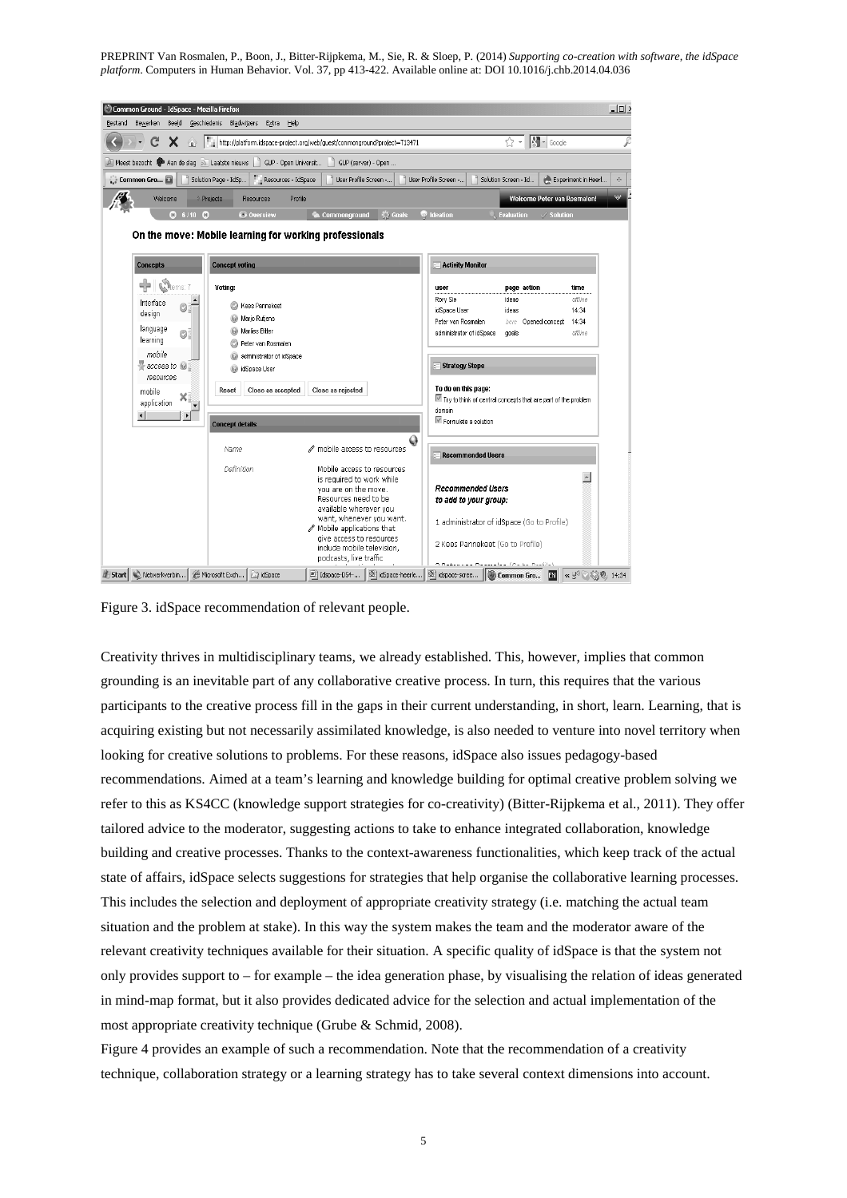

Figure 3. idSpace recommendation of relevant people.

Creativity thrives in multidisciplinary teams, we already established. This, however, implies that common grounding is an inevitable part of any collaborative creative process. In turn, this requires that the various participants to the creative process fill in the gaps in their current understanding, in short, learn. Learning, that is acquiring existing but not necessarily assimilated knowledge, is also needed to venture into novel territory when looking for creative solutions to problems. For these reasons, idSpace also issues pedagogy-based recommendations. Aimed at a team's learning and knowledge building for optimal creative problem solving we refer to this as KS4CC (knowledge support strategies for co-creativity) (Bitter-Rijpkema et al., 2011). They offer tailored advice to the moderator, suggesting actions to take to enhance integrated collaboration, knowledge building and creative processes. Thanks to the context-awareness functionalities, which keep track of the actual state of affairs, idSpace selects suggestions for strategies that help organise the collaborative learning processes. This includes the selection and deployment of appropriate creativity strategy (i.e. matching the actual team situation and the problem at stake). In this way the system makes the team and the moderator aware of the relevant creativity techniques available for their situation. A specific quality of idSpace is that the system not only provides support to – for example – the idea generation phase, by visualising the relation of ideas generated in mind-map format, but it also provides dedicated advice for the selection and actual implementation of the most appropriate creativity technique (Grube & Schmid, 2008).

Figure 4 provides an example of such a recommendation. Note that the recommendation of a creativity technique, collaboration strategy or a learning strategy has to take several context dimensions into account.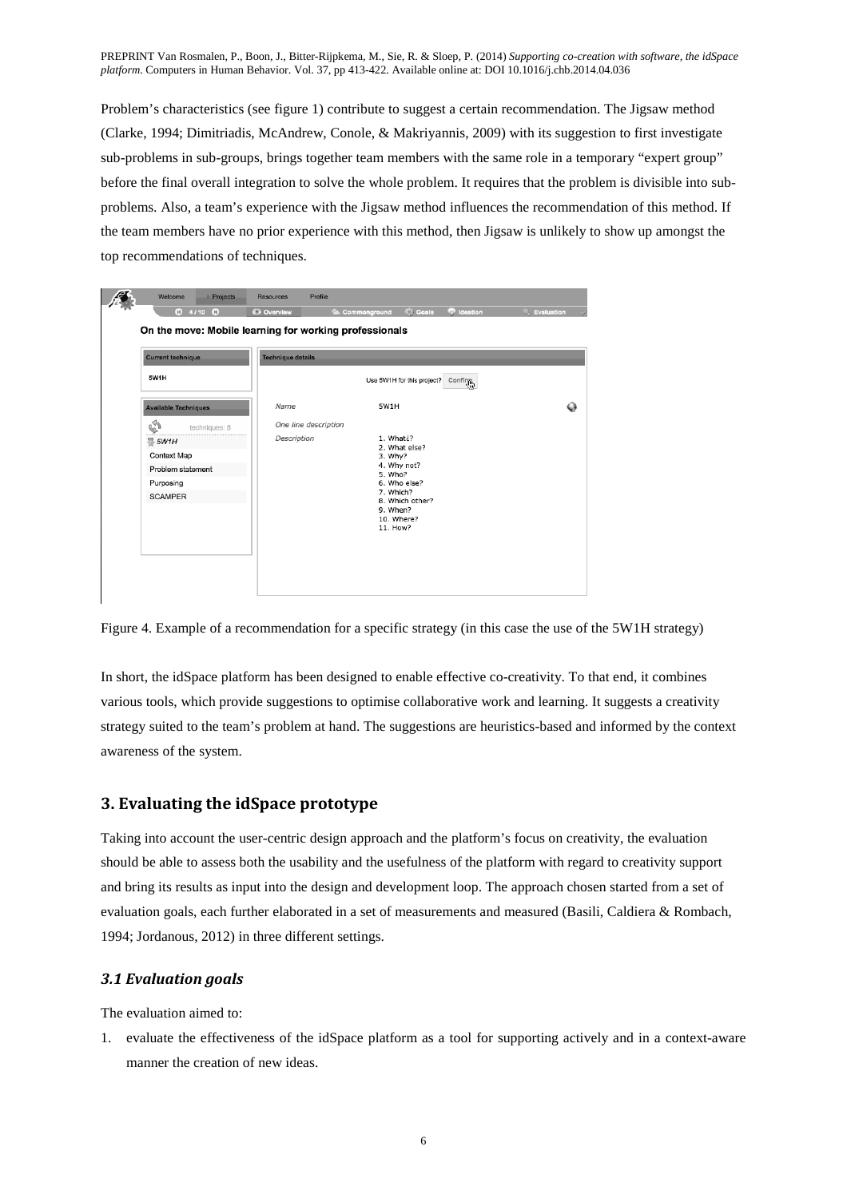Problem's characteristics (see figure 1) contribute to suggest a certain recommendation. The Jigsaw method (Clarke, 1994; Dimitriadis, McAndrew, Conole, & Makriyannis, 2009) with its suggestion to first investigate sub-problems in sub-groups, brings together team members with the same role in a temporary "expert group" before the final overall integration to solve the whole problem. It requires that the problem is divisible into subproblems. Also, a team's experience with the Jigsaw method influences the recommendation of this method. If the team members have no prior experience with this method, then Jigsaw is unlikely to show up amongst the top recommendations of techniques.

| <b>Current technique</b>    | <b>Technique details</b> |                                    |  |
|-----------------------------|--------------------------|------------------------------------|--|
| 5W1H                        |                          | Use 5W1H for this project? Confirm |  |
| <b>Available Techniques</b> | Name                     | 5W1H                               |  |
| Ò<br>techniques: 5          | One line description     |                                    |  |
| \$5W1H                      | Description              | 1. What¿?<br>2. What else?         |  |
| Context Map                 |                          | 3. Why?                            |  |
| Problem statement           |                          | 4. Why not?<br>5. Who?             |  |
| Purposing                   |                          | 6. Who else?                       |  |
| <b>SCAMPER</b>              |                          | 7. Which?<br>8. Which other?       |  |
|                             |                          | 9. When?<br>10. Where?             |  |
|                             |                          | 11. How?                           |  |
|                             |                          |                                    |  |

Figure 4. Example of a recommendation for a specific strategy (in this case the use of the 5W1H strategy)

In short, the idSpace platform has been designed to enable effective co-creativity. To that end, it combines various tools, which provide suggestions to optimise collaborative work and learning. It suggests a creativity strategy suited to the team's problem at hand. The suggestions are heuristics-based and informed by the context awareness of the system.

# **3. Evaluating the idSpace prototype**

Taking into account the user-centric design approach and the platform's focus on creativity, the evaluation should be able to assess both the usability and the usefulness of the platform with regard to creativity support and bring its results as input into the design and development loop. The approach chosen started from a set of evaluation goals, each further elaborated in a set of measurements and measured (Basili, Caldiera & Rombach, 1994; Jordanous, 2012) in three different settings.

# *3.1 Evaluation goals*

The evaluation aimed to:

1. evaluate the effectiveness of the idSpace platform as a tool for supporting actively and in a context-aware manner the creation of new ideas.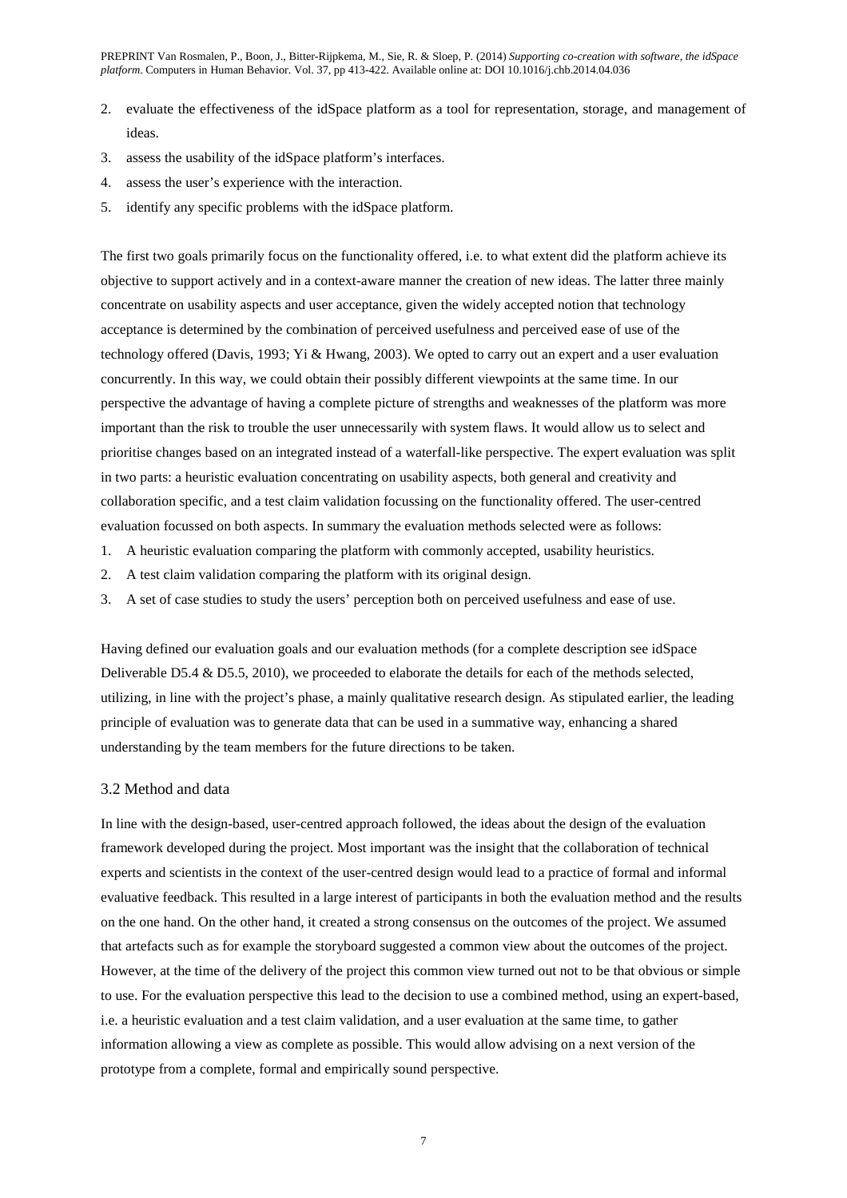- 2. evaluate the effectiveness of the idSpace platform as a tool for representation, storage, and management of ideas.
- 3. assess the usability of the idSpace platform's interfaces.
- 4. assess the user's experience with the interaction.
- 5. identify any specific problems with the idSpace platform.

The first two goals primarily focus on the functionality offered, i.e. to what extent did the platform achieve its objective to support actively and in a context-aware manner the creation of new ideas. The latter three mainly concentrate on usability aspects and user acceptance, given the widely accepted notion that technology acceptance is determined by the combination of perceived usefulness and perceived ease of use of the technology offered (Davis, 1993; Yi & Hwang, 2003). We opted to carry out an expert and a user evaluation concurrently. In this way, we could obtain their possibly different viewpoints at the same time. In our perspective the advantage of having a complete picture of strengths and weaknesses of the platform was more important than the risk to trouble the user unnecessarily with system flaws. It would allow us to select and prioritise changes based on an integrated instead of a waterfall-like perspective. The expert evaluation was split in two parts: a heuristic evaluation concentrating on usability aspects, both general and creativity and collaboration specific, and a test claim validation focussing on the functionality offered. The user-centred evaluation focussed on both aspects. In summary the evaluation methods selected were as follows:

- 1. A heuristic evaluation comparing the platform with commonly accepted, usability heuristics.
- 2. A test claim validation comparing the platform with its original design.
- 3. A set of case studies to study the users' perception both on perceived usefulness and ease of use.

Having defined our evaluation goals and our evaluation methods (for a complete description see idSpace Deliverable D5.4 & D5.5, 2010), we proceeded to elaborate the details for each of the methods selected, utilizing, in line with the project's phase, a mainly qualitative research design. As stipulated earlier, the leading principle of evaluation was to generate data that can be used in a summative way, enhancing a shared understanding by the team members for the future directions to be taken.

### 3.2 Method and data

In line with the design-based, user-centred approach followed, the ideas about the design of the evaluation framework developed during the project. Most important was the insight that the collaboration of technical experts and scientists in the context of the user-centred design would lead to a practice of formal and informal evaluative feedback. This resulted in a large interest of participants in both the evaluation method and the results on the one hand. On the other hand, it created a strong consensus on the outcomes of the project. We assumed that artefacts such as for example the storyboard suggested a common view about the outcomes of the project. However, at the time of the delivery of the project this common view turned out not to be that obvious or simple to use. For the evaluation perspective this lead to the decision to use a combined method, using an expert-based, i.e. a heuristic evaluation and a test claim validation, and a user evaluation at the same time, to gather information allowing a view as complete as possible. This would allow advising on a next version of the prototype from a complete, formal and empirically sound perspective.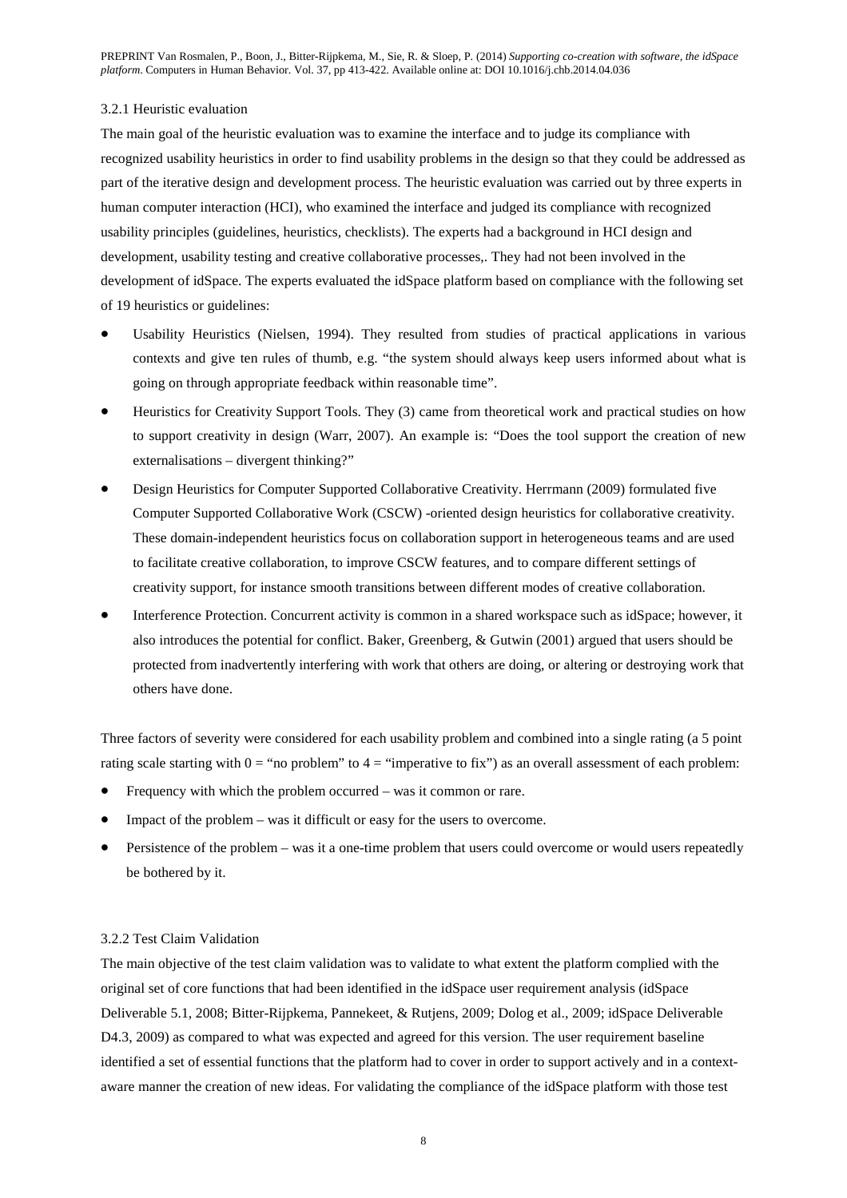## 3.2.1 Heuristic evaluation

The main goal of the heuristic evaluation was to examine the interface and to judge its compliance with recognized usability heuristics in order to find usability problems in the design so that they could be addressed as part of the iterative design and development process. The heuristic evaluation was carried out by three experts in human computer interaction (HCI), who examined the interface and judged its compliance with recognized usability principles (guidelines, heuristics, checklists). The experts had a background in HCI design and development, usability testing and creative collaborative processes,. They had not been involved in the development of idSpace. The experts evaluated the idSpace platform based on compliance with the following set of 19 heuristics or guidelines:

- Usability Heuristics (Nielsen, 1994). They resulted from studies of practical applications in various contexts and give ten rules of thumb, e.g. "the system should always keep users informed about what is going on through appropriate feedback within reasonable time".
- Heuristics for Creativity Support Tools. They (3) came from theoretical work and practical studies on how to support creativity in design (Warr, 2007). An example is: "Does the tool support the creation of new externalisations – divergent thinking?"
- Design Heuristics for Computer Supported Collaborative Creativity. Herrmann (2009) formulated five Computer Supported Collaborative Work (CSCW) -oriented design heuristics for collaborative creativity. These domain-independent heuristics focus on collaboration support in heterogeneous teams and are used to facilitate creative collaboration, to improve CSCW features, and to compare different settings of creativity support, for instance smooth transitions between different modes of creative collaboration.
- Interference Protection. Concurrent activity is common in a shared workspace such as idSpace; however, it also introduces the potential for conflict. Baker, Greenberg, & Gutwin (2001) argued that users should be protected from inadvertently interfering with work that others are doing, or altering or destroying work that others have done.

Three factors of severity were considered for each usability problem and combined into a single rating (a 5 point rating scale starting with  $0 =$  "no problem" to  $4 =$  "imperative to fix") as an overall assessment of each problem:

- Frequency with which the problem occurred was it common or rare.
- Impact of the problem was it difficult or easy for the users to overcome.
- Persistence of the problem was it a one-time problem that users could overcome or would users repeatedly be bothered by it.

### 3.2.2 Test Claim Validation

The main objective of the test claim validation was to validate to what extent the platform complied with the original set of core functions that had been identified in the idSpace user requirement analysis (idSpace Deliverable 5.1, 2008; Bitter-Rijpkema, Pannekeet, & Rutjens, 2009; Dolog et al., 2009; idSpace Deliverable D4.3, 2009) as compared to what was expected and agreed for this version. The user requirement baseline identified a set of essential functions that the platform had to cover in order to support actively and in a contextaware manner the creation of new ideas. For validating the compliance of the idSpace platform with those test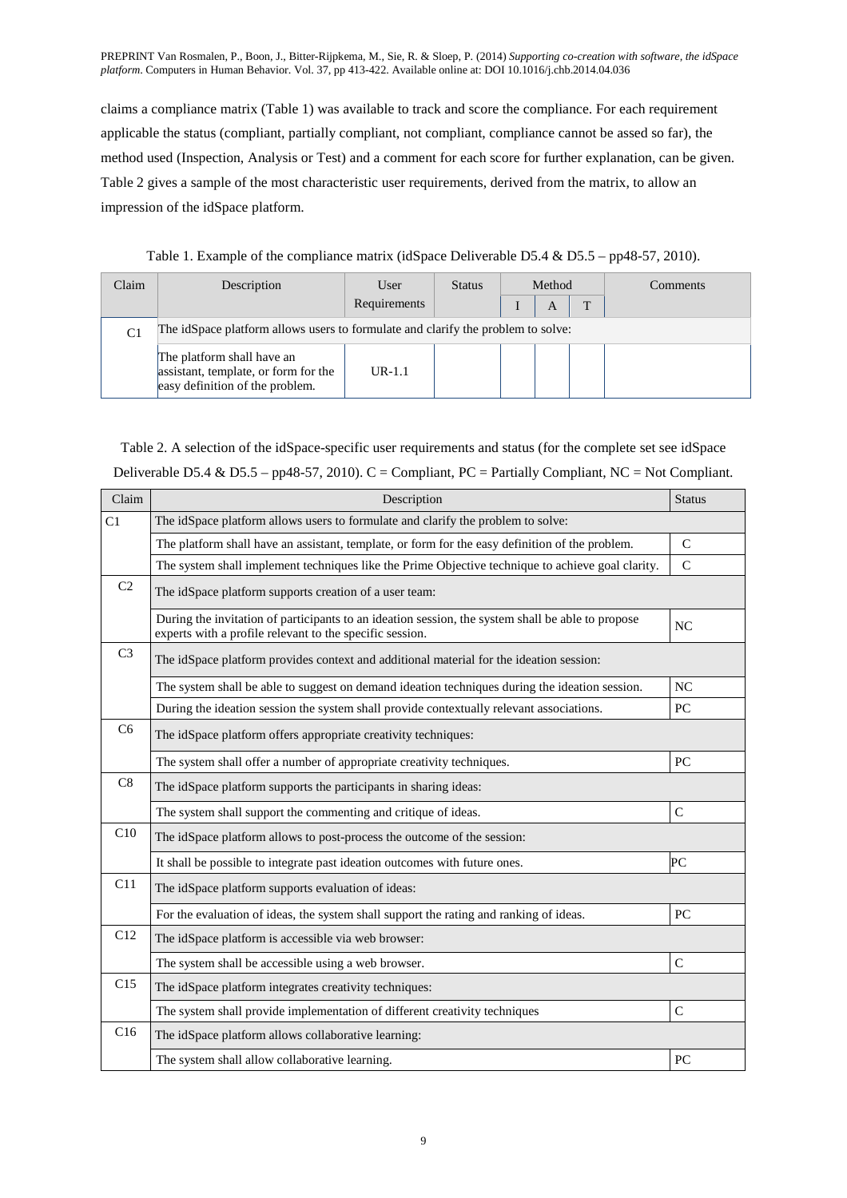claims a compliance matrix (Table 1) was available to track and score the compliance. For each requirement applicable the status (compliant, partially compliant, not compliant, compliance cannot be assed so far), the method used (Inspection, Analysis or Test) and a comment for each score for further explanation, can be given. Table 2 gives a sample of the most characteristic user requirements, derived from the matrix, to allow an impression of the idSpace platform.

| Claim | Description                                                                                           | User         | <b>Status</b> | Method |   |   | Comments |
|-------|-------------------------------------------------------------------------------------------------------|--------------|---------------|--------|---|---|----------|
|       |                                                                                                       | Requirements |               |        | A | T |          |
| C1    | The idSpace platform allows users to formulate and clarify the problem to solve:                      |              |               |        |   |   |          |
|       | The platform shall have an<br>assistant, template, or form for the<br>easy definition of the problem. | $UR-1.1$     |               |        |   |   |          |

Table 1. Example of the compliance matrix (idSpace Deliverable D5.4 & D5.5 – pp48-57, 2010).

Table 2. A selection of the idSpace-specific user requirements and status (for the complete set see idSpace Deliverable D5.4 & D5.5 – pp48-57, 2010). C = Compliant, PC = Partially Compliant, NC = Not Compliant.

| Claim          | Description                                                                                                                                                   | <b>Status</b>  |
|----------------|---------------------------------------------------------------------------------------------------------------------------------------------------------------|----------------|
| C <sub>1</sub> | The idSpace platform allows users to formulate and clarify the problem to solve:                                                                              |                |
|                | The platform shall have an assistant, template, or form for the easy definition of the problem.                                                               | $\mathcal{C}$  |
|                | The system shall implement techniques like the Prime Objective technique to achieve goal clarity.                                                             | $\mathcal{C}$  |
| C <sub>2</sub> | The idSpace platform supports creation of a user team:                                                                                                        |                |
|                | During the invitation of participants to an ideation session, the system shall be able to propose<br>experts with a profile relevant to the specific session. | NC             |
| C <sub>3</sub> | The idSpace platform provides context and additional material for the ideation session:                                                                       |                |
|                | The system shall be able to suggest on demand ideation techniques during the ideation session.                                                                | NC             |
|                | During the ideation session the system shall provide contextually relevant associations.                                                                      | PC             |
| C6             | The idSpace platform offers appropriate creativity techniques:                                                                                                |                |
|                | The system shall offer a number of appropriate creativity techniques.                                                                                         | PC             |
| C8             | The idSpace platform supports the participants in sharing ideas:                                                                                              |                |
|                | The system shall support the commenting and critique of ideas.                                                                                                | $\overline{C}$ |
| C10            | The idSpace platform allows to post-process the outcome of the session:                                                                                       |                |
|                | It shall be possible to integrate past ideation outcomes with future ones.                                                                                    | PC             |
| C11            | The idSpace platform supports evaluation of ideas:                                                                                                            |                |
|                | For the evaluation of ideas, the system shall support the rating and ranking of ideas.                                                                        | PC             |
| C12            | The idSpace platform is accessible via web browser:                                                                                                           |                |
|                | The system shall be accessible using a web browser.                                                                                                           | $\mathsf{C}$   |
| C15            | The idSpace platform integrates creativity techniques:                                                                                                        |                |
|                | The system shall provide implementation of different creativity techniques                                                                                    | $\mathcal{C}$  |
| C16            | The idSpace platform allows collaborative learning:                                                                                                           |                |
|                | The system shall allow collaborative learning.                                                                                                                | PC             |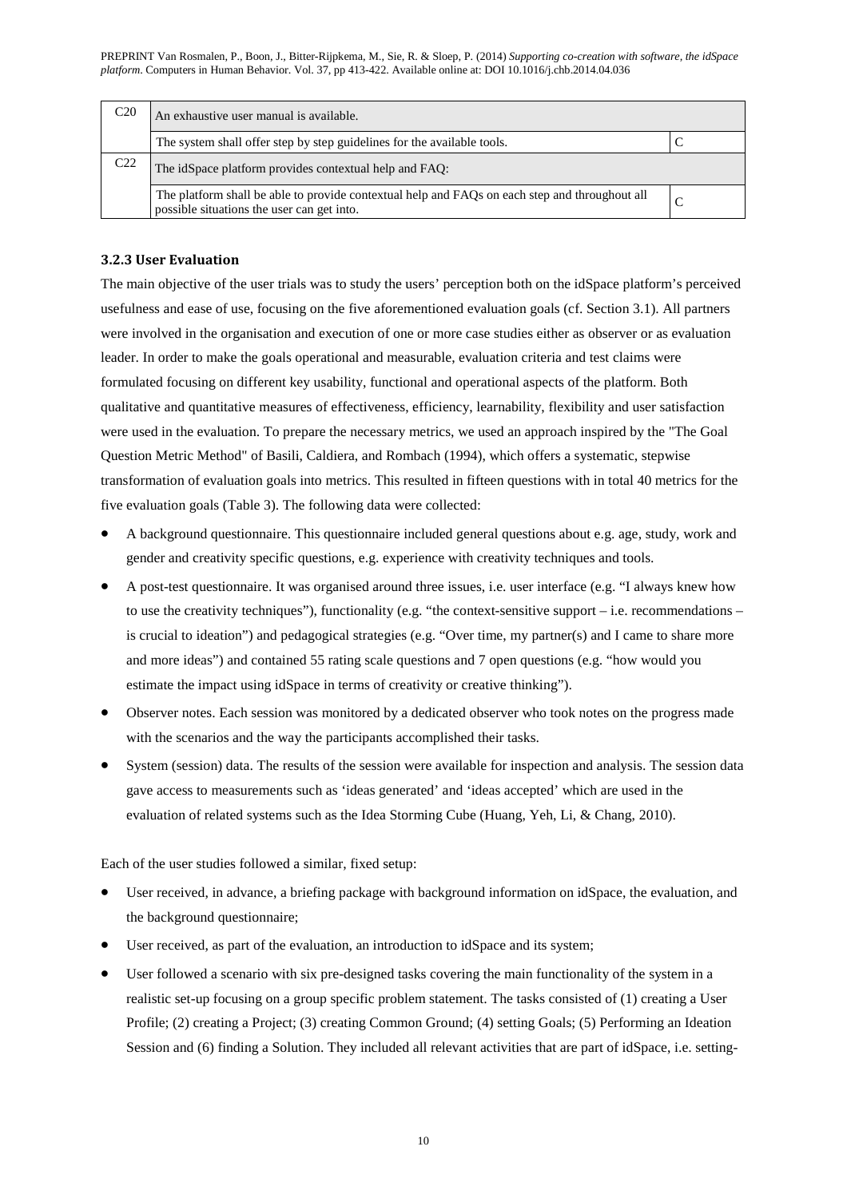| C <sub>20</sub> | An exhaustive user manual is available.                                                                                                      |  |  |  |  |
|-----------------|----------------------------------------------------------------------------------------------------------------------------------------------|--|--|--|--|
|                 | The system shall offer step by step guidelines for the available tools.                                                                      |  |  |  |  |
| C22             | The idSpace platform provides contextual help and FAQ:                                                                                       |  |  |  |  |
|                 | The platform shall be able to provide contextual help and FAQs on each step and throughout all<br>possible situations the user can get into. |  |  |  |  |

## **3.2.3 User Evaluation**

The main objective of the user trials was to study the users' perception both on the idSpace platform's perceived usefulness and ease of use, focusing on the five aforementioned evaluation goals (cf. Section 3.1). All partners were involved in the organisation and execution of one or more case studies either as observer or as evaluation leader. In order to make the goals operational and measurable, evaluation criteria and test claims were formulated focusing on different key usability, functional and operational aspects of the platform. Both qualitative and quantitative measures of effectiveness, efficiency, learnability, flexibility and user satisfaction were used in the evaluation. To prepare the necessary metrics, we used an approach inspired by the "The Goal Question Metric Method" of Basili, Caldiera, and Rombach (1994), which offers a systematic, stepwise transformation of evaluation goals into metrics. This resulted in fifteen questions with in total 40 metrics for the five evaluation goals (Table 3). The following data were collected:

- A background questionnaire. This questionnaire included general questions about e.g. age, study, work and gender and creativity specific questions, e.g. experience with creativity techniques and tools.
- A post-test questionnaire. It was organised around three issues, i.e. user interface (e.g. "I always knew how to use the creativity techniques"), functionality (e.g. "the context-sensitive support – i.e. recommendations – is crucial to ideation") and pedagogical strategies (e.g. "Over time, my partner(s) and I came to share more and more ideas") and contained 55 rating scale questions and 7 open questions (e.g. "how would you estimate the impact using idSpace in terms of creativity or creative thinking").
- Observer notes. Each session was monitored by a dedicated observer who took notes on the progress made with the scenarios and the way the participants accomplished their tasks.
- System (session) data. The results of the session were available for inspection and analysis. The session data gave access to measurements such as 'ideas generated' and 'ideas accepted' which are used in the evaluation of related systems such as the Idea Storming Cube (Huang, Yeh, Li, & Chang, 2010).

Each of the user studies followed a similar, fixed setup:

- User received, in advance, a briefing package with background information on idSpace, the evaluation, and the background questionnaire;
- User received, as part of the evaluation, an introduction to idSpace and its system;
- User followed a scenario with six pre-designed tasks covering the main functionality of the system in a realistic set-up focusing on a group specific problem statement. The tasks consisted of (1) creating a User Profile; (2) creating a Project; (3) creating Common Ground; (4) setting Goals; (5) Performing an Ideation Session and (6) finding a Solution. They included all relevant activities that are part of idSpace, i.e. setting-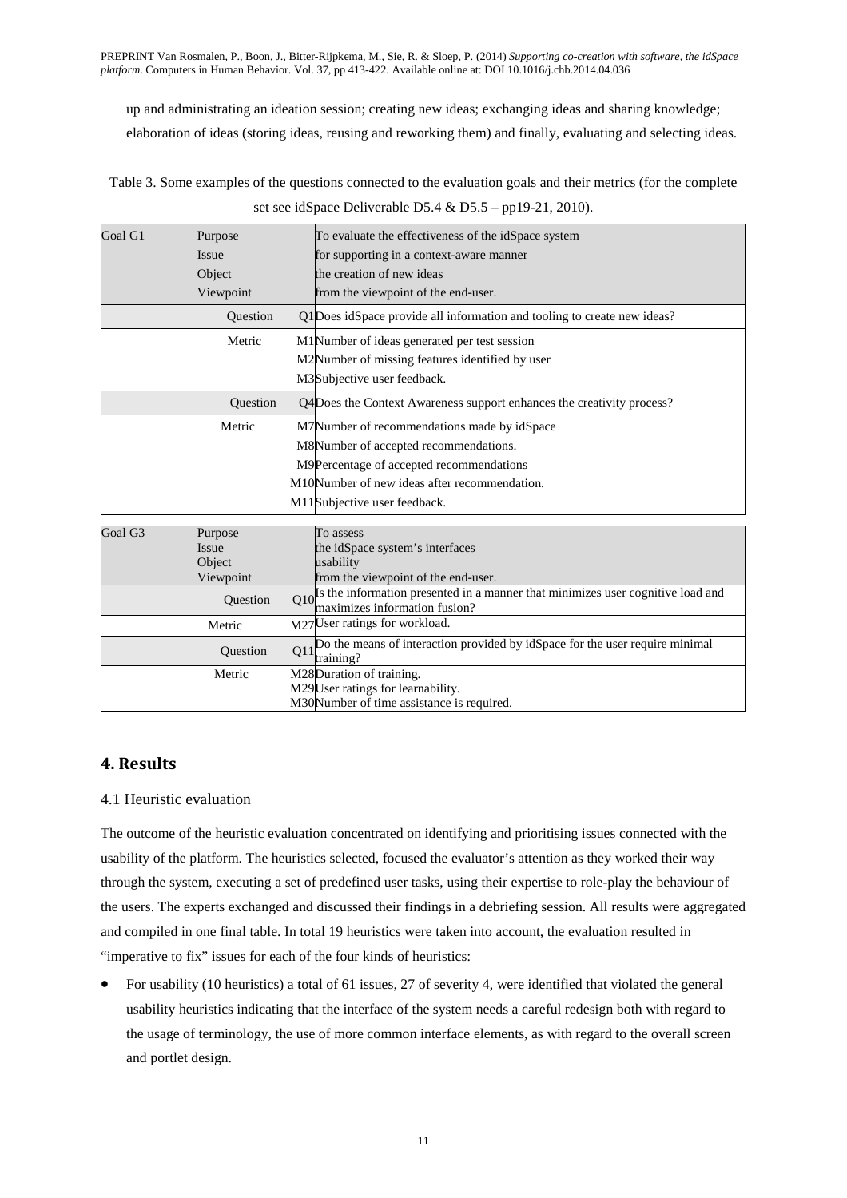up and administrating an ideation session; creating new ideas; exchanging ideas and sharing knowledge; elaboration of ideas (storing ideas, reusing and reworking them) and finally, evaluating and selecting ideas.

Table 3. Some examples of the questions connected to the evaluation goals and their metrics (for the complete set see idSpace Deliverable D5.4 & D5.5 – pp19-21, 2010).

| Goal G1 | Purpose         |     | To evaluate the effectiveness of the idSpace system                                 |
|---------|-----------------|-----|-------------------------------------------------------------------------------------|
|         | Issue           |     | for supporting in a context-aware manner                                            |
|         | Object          |     | the creation of new ideas                                                           |
|         | Viewpoint       |     | from the viewpoint of the end-user.                                                 |
|         | Question        |     | Q1 Does id Space provide all information and tooling to create new ideas?           |
|         | Metric          |     | M1Number of ideas generated per test session                                        |
|         |                 |     | M2Number of missing features identified by user                                     |
|         |                 |     | M3Subjective user feedback.                                                         |
|         | Question        |     | Q4Does the Context Awareness support enhances the creativity process?               |
|         | Metric          |     | M7Number of recommendations made by idSpace                                         |
|         |                 |     | M8Number of accepted recommendations.                                               |
|         |                 |     | M9Percentage of accepted recommendations                                            |
|         |                 |     | M10Number of new ideas after recommendation.                                        |
|         |                 |     | M11Subjective user feedback.                                                        |
|         |                 |     |                                                                                     |
| Goal G3 | Purpose         |     | To assess                                                                           |
|         | Issue<br>Object |     | the idSpace system's interfaces                                                     |
|         | Viewpoint       |     | usability<br>from the viewpoint of the end-user.                                    |
|         |                 |     | Is the information presented in a manner that minimizes user cognitive load and     |
|         | <b>Ouestion</b> | O10 | maximizes information fusion?                                                       |
|         | Metric          |     | M <sub>27</sub> User ratings for workload.                                          |
|         | Question        |     | $O(1)$ Do the means of interaction provided by idSpace for the user require minimal |

| <b>Ouestion</b> | $_{21}$ , Do the means of interaction provided by idSpace for the user require minimal<br>$Q11$ <sup><math>\frac{Q1}{\pi}</math></sup> $\frac{Q11}{\pi}$ |
|-----------------|----------------------------------------------------------------------------------------------------------------------------------------------------------|
| Metric          | M28Duration of training.                                                                                                                                 |
|                 | M29User ratings for learnability.                                                                                                                        |
|                 | M30Number of time assistance is required.                                                                                                                |

# **4. Results**

# 4.1 Heuristic evaluation

The outcome of the heuristic evaluation concentrated on identifying and prioritising issues connected with the usability of the platform. The heuristics selected, focused the evaluator's attention as they worked their way through the system, executing a set of predefined user tasks, using their expertise to role-play the behaviour of the users. The experts exchanged and discussed their findings in a debriefing session. All results were aggregated and compiled in one final table. In total 19 heuristics were taken into account, the evaluation resulted in "imperative to fix" issues for each of the four kinds of heuristics:

• For usability (10 heuristics) a total of 61 issues, 27 of severity 4, were identified that violated the general usability heuristics indicating that the interface of the system needs a careful redesign both with regard to the usage of terminology, the use of more common interface elements, as with regard to the overall screen and portlet design.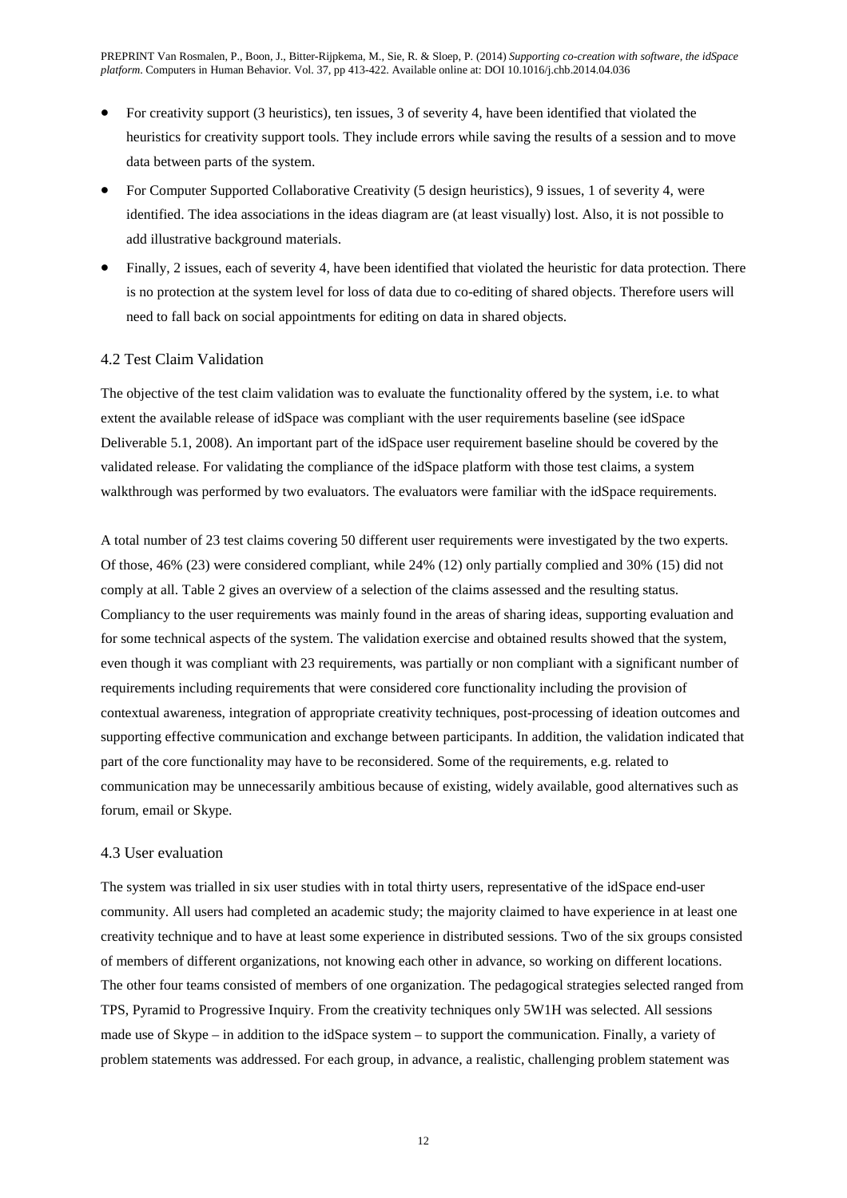- For creativity support (3 heuristics), ten issues, 3 of severity 4, have been identified that violated the heuristics for creativity support tools. They include errors while saving the results of a session and to move data between parts of the system.
- For Computer Supported Collaborative Creativity (5 design heuristics), 9 issues, 1 of severity 4, were identified. The idea associations in the ideas diagram are (at least visually) lost. Also, it is not possible to add illustrative background materials.
- Finally, 2 issues, each of severity 4, have been identified that violated the heuristic for data protection. There is no protection at the system level for loss of data due to co-editing of shared objects. Therefore users will need to fall back on social appointments for editing on data in shared objects.

# 4.2 Test Claim Validation

The objective of the test claim validation was to evaluate the functionality offered by the system, i.e. to what extent the available release of idSpace was compliant with the user requirements baseline (see idSpace Deliverable 5.1, 2008). An important part of the idSpace user requirement baseline should be covered by the validated release. For validating the compliance of the idSpace platform with those test claims, a system walkthrough was performed by two evaluators. The evaluators were familiar with the idSpace requirements.

A total number of 23 test claims covering 50 different user requirements were investigated by the two experts. Of those, 46% (23) were considered compliant, while 24% (12) only partially complied and 30% (15) did not comply at all. Table 2 gives an overview of a selection of the claims assessed and the resulting status. Compliancy to the user requirements was mainly found in the areas of sharing ideas, supporting evaluation and for some technical aspects of the system. The validation exercise and obtained results showed that the system, even though it was compliant with 23 requirements, was partially or non compliant with a significant number of requirements including requirements that were considered core functionality including the provision of contextual awareness, integration of appropriate creativity techniques, post-processing of ideation outcomes and supporting effective communication and exchange between participants. In addition, the validation indicated that part of the core functionality may have to be reconsidered. Some of the requirements, e.g. related to communication may be unnecessarily ambitious because of existing, widely available, good alternatives such as forum, email or Skype.

### 4.3 User evaluation

The system was trialled in six user studies with in total thirty users, representative of the idSpace end-user community. All users had completed an academic study; the majority claimed to have experience in at least one creativity technique and to have at least some experience in distributed sessions. Two of the six groups consisted of members of different organizations, not knowing each other in advance, so working on different locations. The other four teams consisted of members of one organization. The pedagogical strategies selected ranged from TPS, Pyramid to Progressive Inquiry. From the creativity techniques only 5W1H was selected. All sessions made use of Skype – in addition to the idSpace system – to support the communication. Finally, a variety of problem statements was addressed. For each group, in advance, a realistic, challenging problem statement was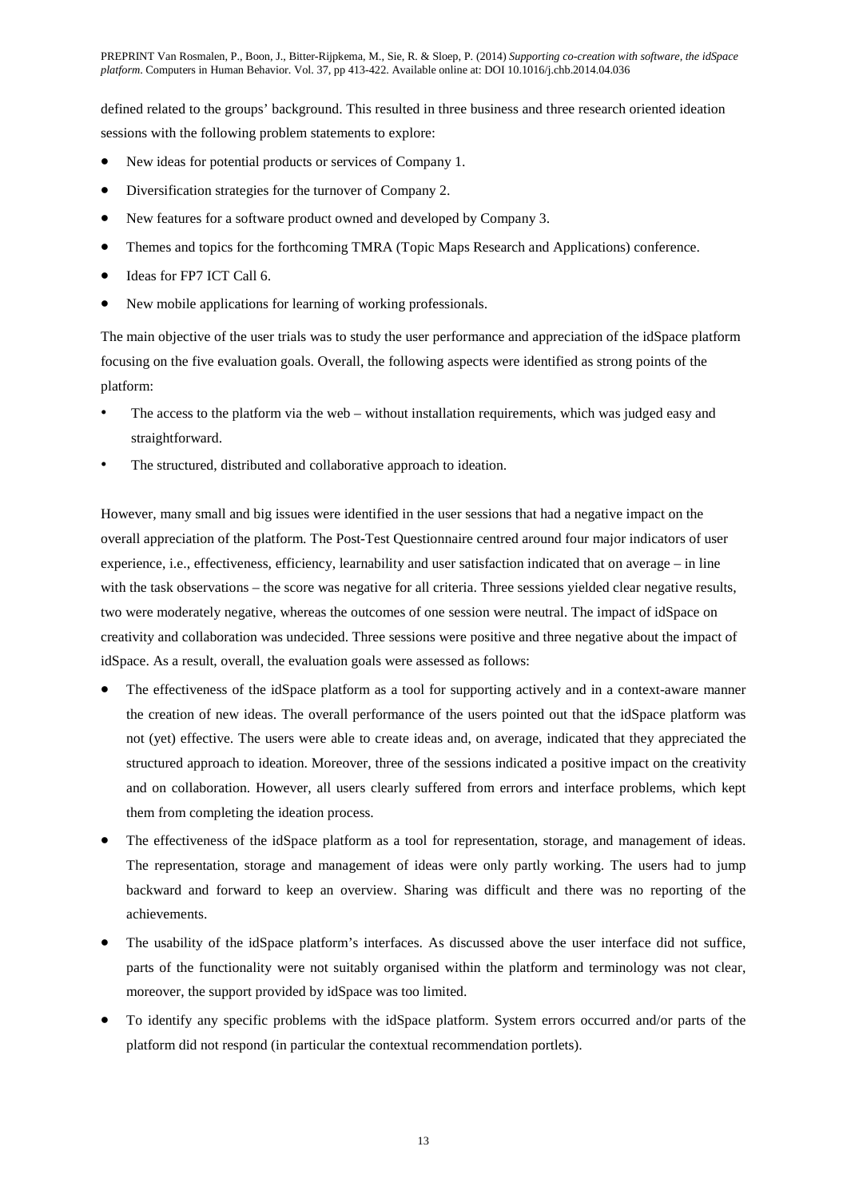defined related to the groups' background. This resulted in three business and three research oriented ideation sessions with the following problem statements to explore:

- New ideas for potential products or services of Company 1.
- Diversification strategies for the turnover of Company 2.
- New features for a software product owned and developed by Company 3.
- Themes and topics for the forthcoming TMRA (Topic Maps Research and Applications) conference.
- Ideas for FP7 ICT Call 6.
- New mobile applications for learning of working professionals.

The main objective of the user trials was to study the user performance and appreciation of the idSpace platform focusing on the five evaluation goals. Overall, the following aspects were identified as strong points of the platform:

- The access to the platform via the web without installation requirements, which was judged easy and straightforward.
- The structured, distributed and collaborative approach to ideation.

However, many small and big issues were identified in the user sessions that had a negative impact on the overall appreciation of the platform. The Post-Test Questionnaire centred around four major indicators of user experience, i.e., effectiveness, efficiency, learnability and user satisfaction indicated that on average – in line with the task observations – the score was negative for all criteria. Three sessions yielded clear negative results, two were moderately negative, whereas the outcomes of one session were neutral. The impact of idSpace on creativity and collaboration was undecided. Three sessions were positive and three negative about the impact of idSpace. As a result, overall, the evaluation goals were assessed as follows:

- The effectiveness of the idSpace platform as a tool for supporting actively and in a context-aware manner the creation of new ideas. The overall performance of the users pointed out that the idSpace platform was not (yet) effective. The users were able to create ideas and, on average, indicated that they appreciated the structured approach to ideation. Moreover, three of the sessions indicated a positive impact on the creativity and on collaboration. However, all users clearly suffered from errors and interface problems, which kept them from completing the ideation process.
- The effectiveness of the idSpace platform as a tool for representation, storage, and management of ideas. The representation, storage and management of ideas were only partly working. The users had to jump backward and forward to keep an overview. Sharing was difficult and there was no reporting of the achievements.
- The usability of the idSpace platform's interfaces. As discussed above the user interface did not suffice, parts of the functionality were not suitably organised within the platform and terminology was not clear, moreover, the support provided by idSpace was too limited.
- To identify any specific problems with the idSpace platform. System errors occurred and/or parts of the platform did not respond (in particular the contextual recommendation portlets).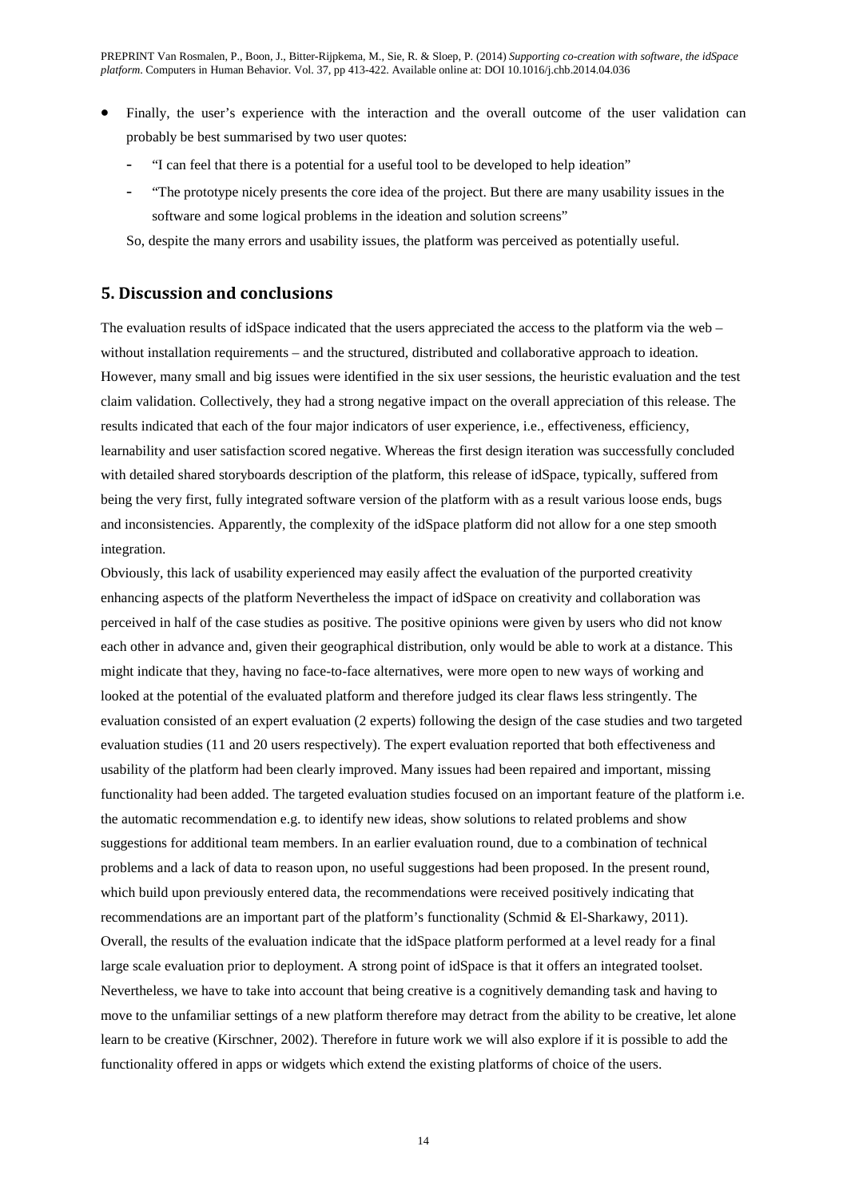- Finally, the user's experience with the interaction and the overall outcome of the user validation can probably be best summarised by two user quotes:
	- "I can feel that there is a potential for a useful tool to be developed to help ideation"
	- "The prototype nicely presents the core idea of the project. But there are many usability issues in the software and some logical problems in the ideation and solution screens"

So, despite the many errors and usability issues, the platform was perceived as potentially useful.

## **5. Discussion and conclusions**

The evaluation results of idSpace indicated that the users appreciated the access to the platform via the web – without installation requirements – and the structured, distributed and collaborative approach to ideation. However, many small and big issues were identified in the six user sessions, the heuristic evaluation and the test claim validation. Collectively, they had a strong negative impact on the overall appreciation of this release. The results indicated that each of the four major indicators of user experience, i.e., effectiveness, efficiency, learnability and user satisfaction scored negative. Whereas the first design iteration was successfully concluded with detailed shared storyboards description of the platform, this release of idSpace, typically, suffered from being the very first, fully integrated software version of the platform with as a result various loose ends, bugs and inconsistencies. Apparently, the complexity of the idSpace platform did not allow for a one step smooth integration.

Obviously, this lack of usability experienced may easily affect the evaluation of the purported creativity enhancing aspects of the platform Nevertheless the impact of idSpace on creativity and collaboration was perceived in half of the case studies as positive. The positive opinions were given by users who did not know each other in advance and, given their geographical distribution, only would be able to work at a distance. This might indicate that they, having no face-to-face alternatives, were more open to new ways of working and looked at the potential of the evaluated platform and therefore judged its clear flaws less stringently. The evaluation consisted of an expert evaluation (2 experts) following the design of the case studies and two targeted evaluation studies (11 and 20 users respectively). The expert evaluation reported that both effectiveness and usability of the platform had been clearly improved. Many issues had been repaired and important, missing functionality had been added. The targeted evaluation studies focused on an important feature of the platform i.e. the automatic recommendation e.g. to identify new ideas, show solutions to related problems and show suggestions for additional team members. In an earlier evaluation round, due to a combination of technical problems and a lack of data to reason upon, no useful suggestions had been proposed. In the present round, which build upon previously entered data, the recommendations were received positively indicating that recommendations are an important part of the platform's functionality (Schmid & El-Sharkawy, 2011). Overall, the results of the evaluation indicate that the idSpace platform performed at a level ready for a final large scale evaluation prior to deployment. A strong point of idSpace is that it offers an integrated toolset. Nevertheless, we have to take into account that being creative is a cognitively demanding task and having to move to the unfamiliar settings of a new platform therefore may detract from the ability to be creative, let alone learn to be creative (Kirschner, 2002). Therefore in future work we will also explore if it is possible to add the functionality offered in apps or widgets which extend the existing platforms of choice of the users.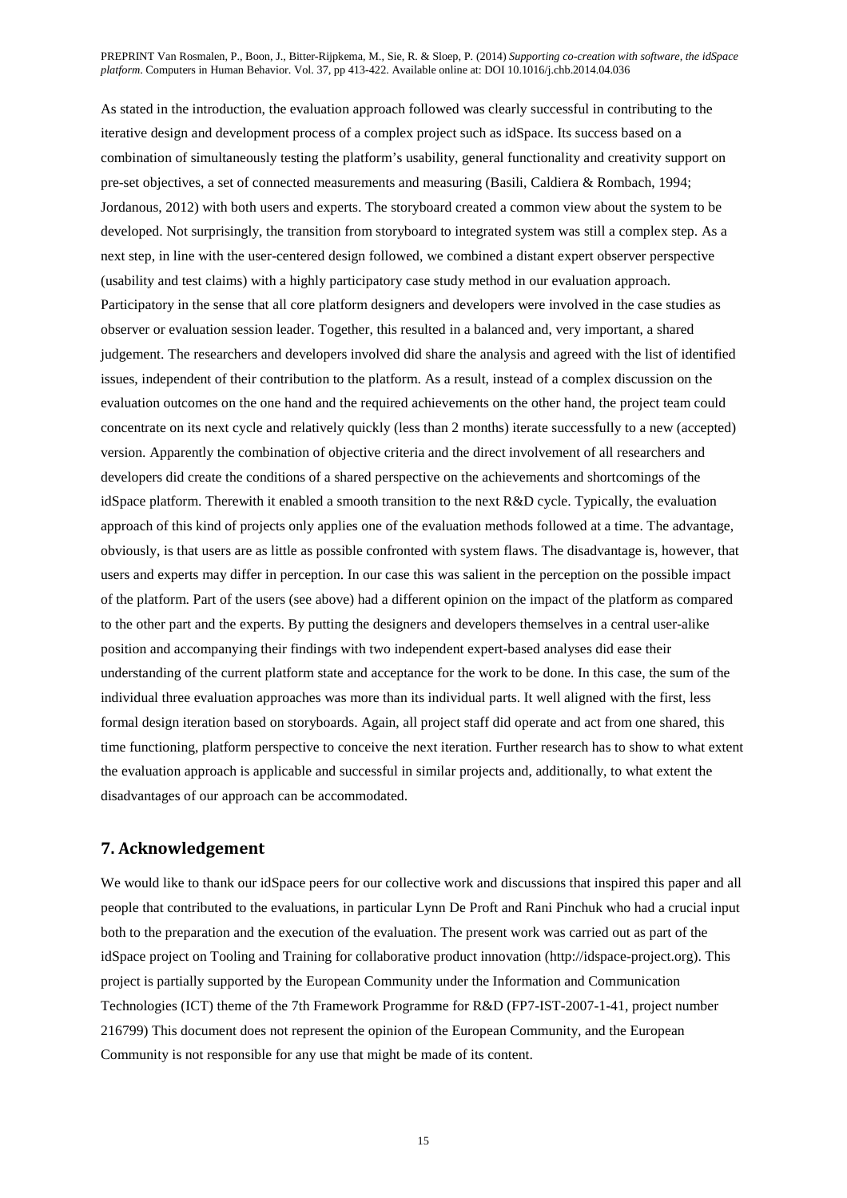As stated in the introduction, the evaluation approach followed was clearly successful in contributing to the iterative design and development process of a complex project such as idSpace. Its success based on a combination of simultaneously testing the platform's usability, general functionality and creativity support on pre-set objectives, a set of connected measurements and measuring (Basili, Caldiera & Rombach, 1994; Jordanous, 2012) with both users and experts. The storyboard created a common view about the system to be developed. Not surprisingly, the transition from storyboard to integrated system was still a complex step. As a next step, in line with the user-centered design followed, we combined a distant expert observer perspective (usability and test claims) with a highly participatory case study method in our evaluation approach. Participatory in the sense that all core platform designers and developers were involved in the case studies as observer or evaluation session leader. Together, this resulted in a balanced and, very important, a shared judgement. The researchers and developers involved did share the analysis and agreed with the list of identified issues, independent of their contribution to the platform. As a result, instead of a complex discussion on the evaluation outcomes on the one hand and the required achievements on the other hand, the project team could concentrate on its next cycle and relatively quickly (less than 2 months) iterate successfully to a new (accepted) version. Apparently the combination of objective criteria and the direct involvement of all researchers and developers did create the conditions of a shared perspective on the achievements and shortcomings of the idSpace platform. Therewith it enabled a smooth transition to the next R&D cycle. Typically, the evaluation approach of this kind of projects only applies one of the evaluation methods followed at a time. The advantage, obviously, is that users are as little as possible confronted with system flaws. The disadvantage is, however, that users and experts may differ in perception. In our case this was salient in the perception on the possible impact of the platform. Part of the users (see above) had a different opinion on the impact of the platform as compared to the other part and the experts. By putting the designers and developers themselves in a central user-alike position and accompanying their findings with two independent expert-based analyses did ease their understanding of the current platform state and acceptance for the work to be done. In this case, the sum of the individual three evaluation approaches was more than its individual parts. It well aligned with the first, less formal design iteration based on storyboards. Again, all project staff did operate and act from one shared, this time functioning, platform perspective to conceive the next iteration. Further research has to show to what extent the evaluation approach is applicable and successful in similar projects and, additionally, to what extent the disadvantages of our approach can be accommodated.

# **7. Acknowledgement**

We would like to thank our idSpace peers for our collective work and discussions that inspired this paper and all people that contributed to the evaluations, in particular Lynn De Proft and Rani Pinchuk who had a crucial input both to the preparation and the execution of the evaluation. The present work was carried out as part of the idSpace project on Tooling and Training for collaborative product innovation (http://idspace-project.org). This project is partially supported by the European Community under the Information and Communication Technologies (ICT) theme of the 7th Framework Programme for R&D (FP7-IST-2007-1-41, project number 216799) This document does not represent the opinion of the European Community, and the European Community is not responsible for any use that might be made of its content.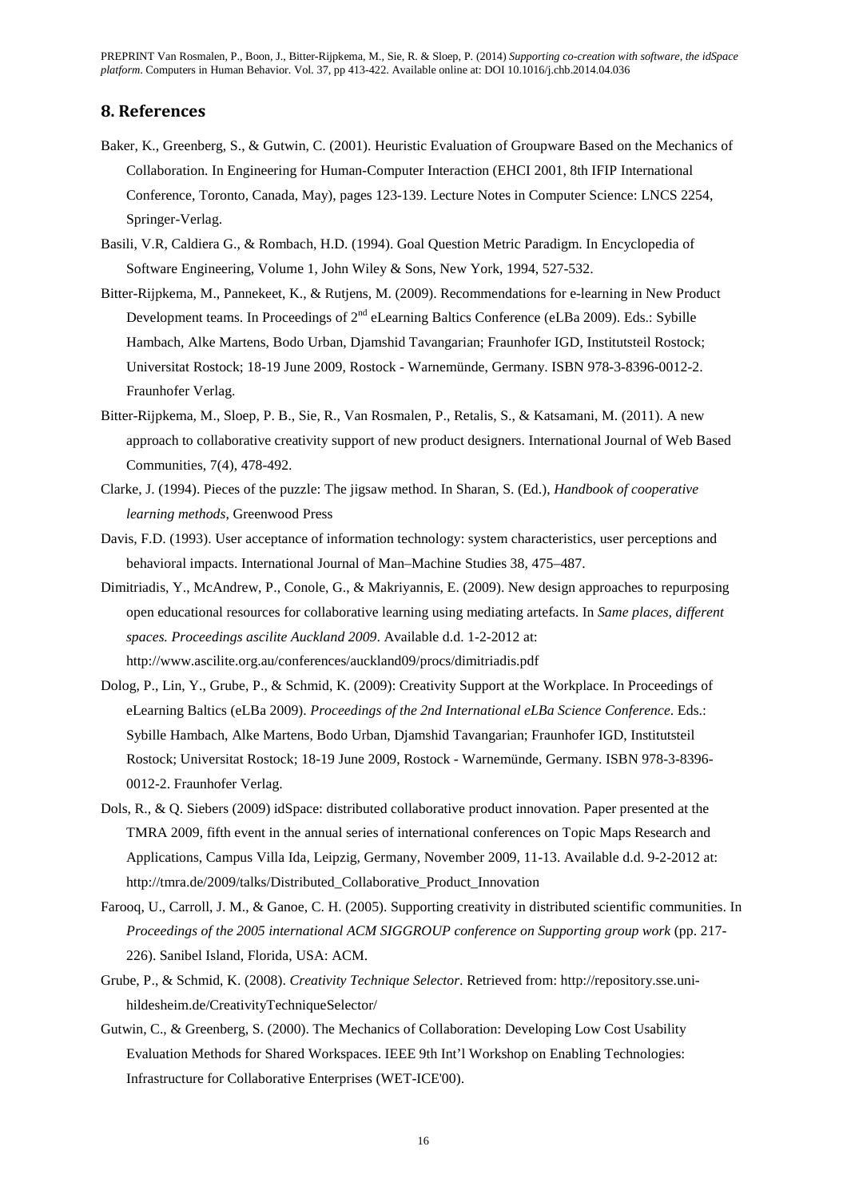## **8. References**

- Baker, K., Greenberg, S., & Gutwin, C. (2001). [Heuristic Evaluation of Groupware Based on the Mechanics of](http://grouplab.cpsc.ucalgary.ca/Publications/2001-HeurisiticsMechanics.EHCI)  [Collaboration.](http://grouplab.cpsc.ucalgary.ca/Publications/2001-HeurisiticsMechanics.EHCI) In Engineering for Human-Computer Interaction (EHCI 2001, 8th IFIP International Conference, Toronto, Canada, May), pages 123-139. Lecture Notes in Computer Science: LNCS 2254, Springer-Verlag.
- Basili, V.R, Caldiera G., & Rombach, H.D. (1994). Goal Question Metric Paradigm. In Encyclopedia of Software Engineering, Volume 1, John Wiley & Sons, New York, 1994, 527-532.
- Bitter-Rijpkema, M., Pannekeet, K., & Rutjens, M. (2009). Recommendations for e-learning in New Product Development teams. In Proceedings of  $2<sup>nd</sup>$  eLearning Baltics Conference (eLBa 2009). Eds.: Sybille Hambach, Alke Martens, Bodo Urban, Djamshid Tavangarian; Fraunhofer IGD, Institutsteil Rostock; Universitat Rostock; 18-19 June 2009, Rostock - Warnemünde, Germany. ISBN 978-3-8396-0012-2. Fraunhofer Verlag.
- Bitter-Rijpkema, M., Sloep, P. B., Sie, R., Van Rosmalen, P., Retalis, S., & Katsamani, M. (2011). A new approach to collaborative creativity support of new product designers. International Journal of Web Based Communities, 7(4), 478-492.
- Clarke, J. (1994). Pieces of the puzzle: The jigsaw method. In Sharan, S. (Ed.), *Handbook of cooperative learning methods*, Greenwood Press
- Davis, F.D. (1993). User acceptance of information technology: system characteristics, user perceptions and behavioral impacts. International Journal of Man–Machine Studies 38, 475–487.
- Dimitriadis, Y., McAndrew, P., Conole, G., & Makriyannis, E. (2009). New design approaches to repurposing open educational resources for collaborative learning using mediating artefacts. In *Same places, different spaces. Proceedings ascilite Auckland 2009*. Available d.d. 1-2-2012 at: <http://www.ascilite.org.au/conferences/auckland09/procs/dimitriadis.pdf>
- Dolog, P., Lin, Y., Grube, P., & Schmid, K. (2009): Creativity Support at the Workplace. In Proceedings of eLearning Baltics (eLBa 2009). *Proceedings of the 2nd International eLBa Science Conference*. Eds.: Sybille Hambach, Alke Martens, Bodo Urban, Djamshid Tavangarian; Fraunhofer IGD, Institutsteil Rostock; Universitat Rostock; 18-19 June 2009, Rostock - Warnemünde, Germany. ISBN 978-3-8396- 0012-2. Fraunhofer Verlag.
- Dols, R., & Q. Siebers (2009) idSpace: distributed collaborative product innovation. Paper presented at the TMRA 2009, fifth event in the annual series of international conferences on Topic Maps Research and Applications, Campus Villa Ida, Leipzig, Germany, November 2009, 11-13. Available d.d. 9-2-2012 at: http://tmra.de/2009/talks/Distributed\_Collaborative\_Product\_Innovation
- Farooq, U., Carroll, J. M., & Ganoe, C. H. (2005). Supporting creativity in distributed scientific communities. In *Proceedings of the 2005 international ACM SIGGROUP conference on Supporting group work* (pp. 217- 226). Sanibel Island, Florida, USA: ACM.
- Grube, P., & Schmid, K. (2008). *Creativity Technique Selector*. Retrieved from: http://repository.sse.unihildesheim.de/CreativityTechniqueSelector/
- Gutwin, C., & Greenberg, S. (2000). The Mechanics of Collaboration: Developing Low Cost Usability Evaluation Methods for Shared Workspaces. IEEE 9th Int'l Workshop on Enabling Technologies: Infrastructure for Collaborative Enterprises (WET-ICE'00).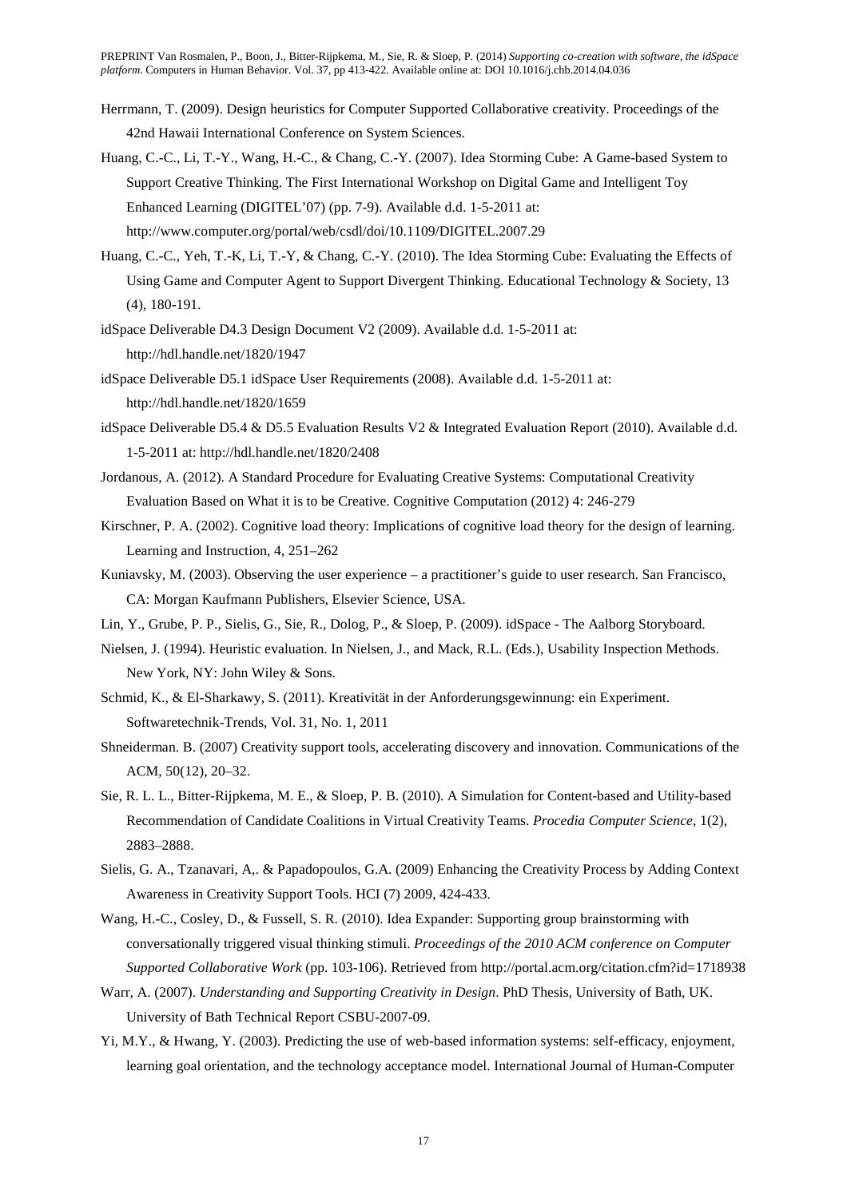- Herrmann, T. (2009). Design heuristics for Computer Supported Collaborative creativity. Proceedings of the 42nd Hawaii International Conference on System Sciences.
- Huang, C.-C., Li, T.-Y., Wang, H.-C., & Chang, C.-Y. (2007). Idea Storming Cube: A Game-based System to Support Creative Thinking. The First International Workshop on Digital Game and Intelligent Toy Enhanced Learning (DIGITEL'07) (pp. 7-9). Available d.d. 1-5-2011 at: http://www.computer.org/portal/web/csdl/doi/10.1109/DIGITEL.2007.29
- Huang, C.-C., Yeh, T.-K, Li, T.-Y, & Chang, C.-Y. (2010). The Idea Storming Cube: Evaluating the Effects of Using Game and Computer Agent to Support Divergent Thinking. Educational Technology & Society, 13 (4), 180-191.
- idSpace Deliverable D4.3 Design Document V2 (2009). Available d.d. 1-5-2011 at: http://hdl.handle.net/1820/1947
- idSpace Deliverable D5.1 idSpace User Requirements (2008). Available d.d. 1-5-2011 at: http://hdl.handle.net/1820/1659
- idSpace Deliverable D5.4 & D5.5 Evaluation Results V2 & Integrated Evaluation Report (2010). Available d.d. 1-5-2011 at: http://hdl.handle.net/1820/2408
- Jordanous, A. (2012). A Standard Procedure for Evaluating Creative Systems: Computational Creativity Evaluation Based on What it is to be Creative. Cognitive Computation (2012) 4: 246-279
- Kirschner, P. A. (2002). Cognitive load theory: Implications of cognitive load theory for the design of learning. Learning and Instruction, 4, 251–262
- Kuniavsky, M. (2003). Observing the user experience a practitioner's guide to user research. San Francisco, CA: Morgan Kaufmann Publishers, Elsevier Science, USA.
- Lin, Y., Grube, P. P., Sielis, G., Sie, R., Dolog, P., & Sloep, P. (2009). idSpace The Aalborg Storyboard.
- Nielsen, J. (1994). Heuristic evaluation. In Nielsen, J., and Mack, R.L. (Eds.), Usability Inspection Methods. New York, NY: John Wiley & Sons.
- Schmid, K., & El-Sharkawy, S. (2011). Kreativität in der Anforderungsgewinnung: ein Experiment. Softwaretechnik-Trends, Vol. 31, No. 1, 2011
- Shneiderman. B. (2007) Creativity support tools, accelerating discovery and innovation. Communications of the ACM, 50(12), 20–32.
- Sie, R. L. L., Bitter-Rijpkema, M. E., & Sloep, P. B. (2010). A Simulation for Content-based and Utility-based Recommendation of Candidate Coalitions in Virtual Creativity Teams. *Procedia Computer Science*, 1(2), 2883–2888.
- Sielis, G. A., Tzanavari, A,. & Papadopoulos, G.A. (2009) Enhancing the Creativity Process by Adding Context Awareness in Creativity Support Tools. HCI (7) 2009, 424-433.
- Wang, H.-C., Cosley, D., & Fussell, S. R. (2010). Idea Expander: Supporting group brainstorming with conversationally triggered visual thinking stimuli. *Proceedings of the 2010 ACM conference on Computer Supported Collaborative Work* (pp. 103-106). Retrieved from http://portal.acm.org/citation.cfm?id=1718938
- Warr, A. (2007). *Understanding and Supporting Creativity in Design*. PhD Thesis, University of Bath, UK. University of Bath Technical Report CSBU-2007-09.
- Yi, M.Y., & Hwang, Y. (2003). Predicting the use of web-based information systems: self-efficacy, enjoyment, learning goal orientation, and the technology acceptance model. International Journal of Human-Computer